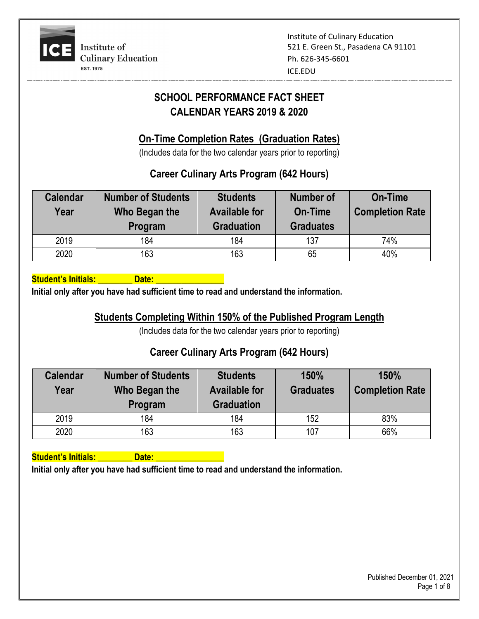

# **SCHOOL PERFORMANCE FACT SHEET CALENDAR YEARS 2019 & 2020**

## **On-Time Completion Rates (Graduation Rates)**

(Includes data for the two calendar years prior to reporting)

## **Career Culinary Arts Program (642 Hours)**

| <b>Calendar</b><br>Year | <b>Number of Students</b><br>Who Began the<br>Program | <b>Students</b><br><b>Available for</b><br><b>Graduation</b> | <b>Number of</b><br><b>On-Time</b><br><b>Graduates</b> | <b>On-Time</b><br><b>Completion Rate</b> |
|-------------------------|-------------------------------------------------------|--------------------------------------------------------------|--------------------------------------------------------|------------------------------------------|
| 2019                    | 184                                                   | 184                                                          | 137                                                    | 74%                                      |
| 2020                    | 163                                                   | 163                                                          | 65                                                     | 40%                                      |

**Student's Initials: \_\_\_\_\_\_\_\_ Date: \_\_\_\_\_\_\_\_\_\_\_\_\_\_\_\_**

**Initial only after you have had sufficient time to read and understand the information.**

## **Students Completing Within 150% of the Published Program Length**

(Includes data for the two calendar years prior to reporting)

#### **Career Culinary Arts Program (642 Hours)**

| <b>Calendar</b><br>Year | <b>Number of Students</b><br>Who Began the<br>Program | <b>Students</b><br><b>Available for</b><br><b>Graduation</b> | 150%<br><b>Graduates</b> | 150%<br><b>Completion Rate</b> |
|-------------------------|-------------------------------------------------------|--------------------------------------------------------------|--------------------------|--------------------------------|
| 2019                    | 184                                                   | 184                                                          | 152                      | 83%                            |
| 2020                    | 163                                                   | 163                                                          | 107                      | 66%                            |

**Student's Initials: All Date: All Date:** All Date: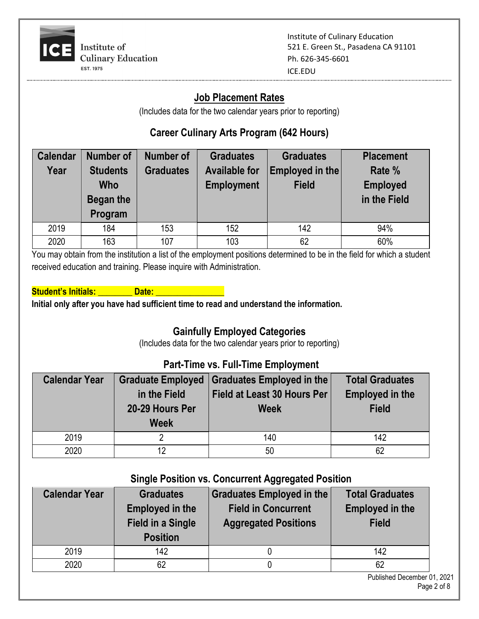

#### **Job Placement Rates**

(Includes data for the two calendar years prior to reporting)

## **Career Culinary Arts Program (642 Hours)**

| <b>Calendar</b><br>Year | <b>Number of</b><br><b>Students</b> | <b>Number of</b><br><b>Graduates</b> | <b>Graduates</b><br><b>Available for</b> | <b>Graduates</b><br>Employed in the | <b>Placement</b><br>Rate % |
|-------------------------|-------------------------------------|--------------------------------------|------------------------------------------|-------------------------------------|----------------------------|
|                         | <b>Who</b>                          |                                      | <b>Employment</b>                        | <b>Field</b>                        | <b>Employed</b>            |
|                         | Began the<br>Program                |                                      |                                          |                                     | in the Field               |
|                         |                                     |                                      |                                          |                                     |                            |
| 2019                    | 184                                 | 153                                  | 152                                      | 142                                 | 94%                        |
| 2020                    | 163                                 | 107                                  | 103                                      | 62                                  | 60%                        |

You may obtain from the institution a list of the employment positions determined to be in the field for which a student received education and training. Please inquire with Administration.

#### **Student's Initials: Construct Date: All and Date:** 2012

**Initial only after you have had sufficient time to read and understand the information.**

## **Gainfully Employed Categories**

(Includes data for the two calendar years prior to reporting)

#### **Part-Time vs. Full-Time Employment**

| <b>Calendar Year</b> | in the Field<br>20-29 Hours Per<br><b>Week</b> | Graduate Employed   Graduates Employed in the<br><b>Field at Least 30 Hours Per</b><br><b>Week</b> | <b>Total Graduates</b><br><b>Employed in the</b><br><b>Field</b> |
|----------------------|------------------------------------------------|----------------------------------------------------------------------------------------------------|------------------------------------------------------------------|
| 2019                 |                                                | 140                                                                                                | 142                                                              |
| 2020                 | 12                                             | 50                                                                                                 | 62                                                               |

#### **Single Position vs. Concurrent Aggregated Position**

| <b>Calendar Year</b> | <b>Graduates</b><br><b>Employed in the</b><br><b>Field in a Single</b><br><b>Position</b> | Graduates Employed in the<br><b>Field in Concurrent</b><br><b>Aggregated Positions</b> | <b>Total Graduates</b><br><b>Employed in the</b><br><b>Field</b> |
|----------------------|-------------------------------------------------------------------------------------------|----------------------------------------------------------------------------------------|------------------------------------------------------------------|
| 2019                 | 142                                                                                       |                                                                                        | 142                                                              |
| 2020                 | 62                                                                                        |                                                                                        | 62                                                               |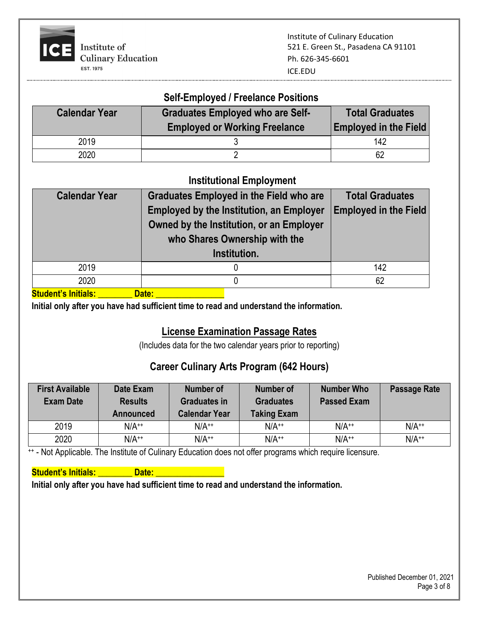

# **Self-Employed / Freelance Positions**

| <b>Calendar Year</b> | <b>Graduates Employed who are Self-</b><br><b>Employed or Working Freelance</b> | <b>Total Graduates</b><br><b>Employed in the Field</b> |
|----------------------|---------------------------------------------------------------------------------|--------------------------------------------------------|
| 2019                 |                                                                                 | 142                                                    |
| 2020                 |                                                                                 | 62                                                     |

#### **Institutional Employment**

| <b>Calendar Year</b> | <b>Graduates Employed in the Field who are</b>  | <b>Total Graduates</b>       |  |
|----------------------|-------------------------------------------------|------------------------------|--|
|                      | <b>Employed by the Institution, an Employer</b> | <b>Employed in the Field</b> |  |
|                      | Owned by the Institution, or an Employer        |                              |  |
|                      | who Shares Ownership with the                   |                              |  |
|                      | Institution.                                    |                              |  |
| 2019                 |                                                 | 142                          |  |
| 2020                 | 0                                               | 62                           |  |
| .                    |                                                 |                              |  |

Student's Initials: **\_\_\_\_\_\_\_\_\_\_\_Date: \_\_\_\_\_** 

**Initial only after you have had sufficient time to read and understand the information.**

## **License Examination Passage Rates**

(Includes data for the two calendar years prior to reporting)

## **Career Culinary Arts Program (642 Hours)**

| <b>First Available</b><br><b>Exam Date</b> | Date Exam<br><b>Results</b><br>Announced | <b>Number of</b><br><b>Graduates in</b><br><b>Calendar Year</b> | Number of<br><b>Graduates</b><br><b>Taking Exam</b> | <b>Number Who</b><br><b>Passed Exam</b> | <b>Passage Rate</b> |
|--------------------------------------------|------------------------------------------|-----------------------------------------------------------------|-----------------------------------------------------|-----------------------------------------|---------------------|
| 2019                                       | $N/A^{++}$                               | $N/A^{++}$                                                      | $N/A^{++}$                                          | $N/A^{++}$                              | $N/A^{++}$          |
| 2020                                       | $N/A^{++}$                               | $N/A^{++}$                                                      | $N/A^{++}$                                          | $N/A^{++}$                              | $N/A^{++}$          |

++ - Not Applicable. The Institute of Culinary Education does not offer programs which require licensure.

#### **Student's Initials: Construct Date:** 2014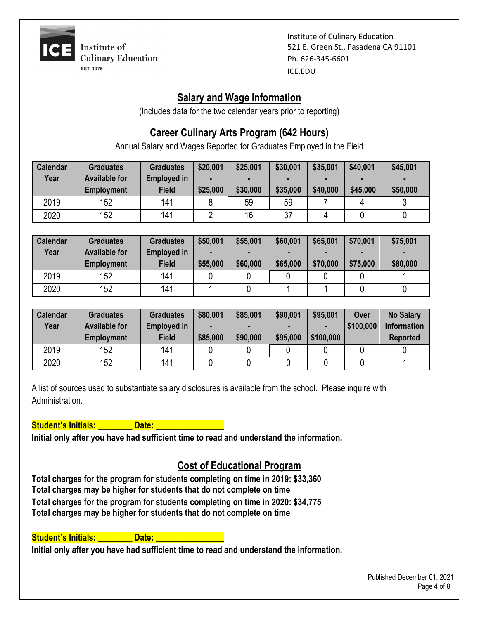

## **Salary and Wage Information**

(Includes data for the two calendar years prior to reporting)

## **Career Culinary Arts Program (642 Hours)**

Annual Salary and Wages Reported for Graduates Employed in the Field

| <b>Calendar</b> | <b>Graduates</b>     | <b>Graduates</b> | \$20,001 | \$25,001 | \$30,001 | \$35,001 | \$40,001 | \$45,001 |
|-----------------|----------------------|------------------|----------|----------|----------|----------|----------|----------|
| Year            | <b>Available for</b> | Employed in      |          |          |          |          |          |          |
|                 | <b>Employment</b>    | <b>Field</b>     | \$25,000 | \$30,000 | \$35,000 | \$40,000 | \$45,000 | \$50,000 |
| 2019            | 152                  | 141              |          | 59       | 59       |          |          |          |
| 2020            | 152                  | 141              |          | 16       | 37       |          |          |          |

| <b>Calendar</b> | <b>Graduates</b>     | <b>Graduates</b>   | \$50,001 | \$55,001 | \$60,001 | \$65,001 | \$70,001 | \$75,001 |
|-----------------|----------------------|--------------------|----------|----------|----------|----------|----------|----------|
| Year            | <b>Available for</b> | <b>Employed in</b> |          |          |          | -        |          |          |
|                 | <b>Employment</b>    | <b>Field</b>       | \$55,000 | \$60,000 | \$65,000 | \$70,000 | \$75,000 | \$80,000 |
| 2019            | 152                  | 141                |          |          |          |          |          |          |
| 2020            | 152                  | 141                |          |          |          |          |          |          |

| <b>Calendar</b> | <b>Graduates</b>     | <b>Graduates</b>   | \$80,001 | \$85,001 | \$90,001 | \$95,001  | Over      | <b>No Salary</b>   |
|-----------------|----------------------|--------------------|----------|----------|----------|-----------|-----------|--------------------|
| Year            | <b>Available for</b> | <b>Employed in</b> |          |          |          |           | \$100,000 | <b>Information</b> |
|                 | <b>Employment</b>    | <b>Field</b>       | \$85,000 | \$90,000 | \$95,000 | \$100,000 |           | <b>Reported</b>    |
| 2019            | 152                  | 141                |          |          |          |           |           |                    |
| 2020            | 152                  | 141                |          |          |          |           |           |                    |

A list of sources used to substantiate salary disclosures is available from the school. Please inquire with Administration.

**Student's Initials: All Date: All Date:** All Date: All Date: All Date: All Date: All Date: All Date: All Date: All Date: All Date: All Date: All Date: All Date: All Date: All Date: All Date: All Date: All Date: All Date:

**Initial only after you have had sufficient time to read and understand the information.**

# **Cost of Educational Program**

**Total charges for the program for students completing on time in 2019: \$33,360 Total charges may be higher for students that do not complete on time Total charges for the program for students completing on time in 2020: \$34,775 Total charges may be higher for students that do not complete on time**

#### Student's Initials: **\_\_\_\_\_\_\_\_\_ Date: \_\_\_\_\_\_\_**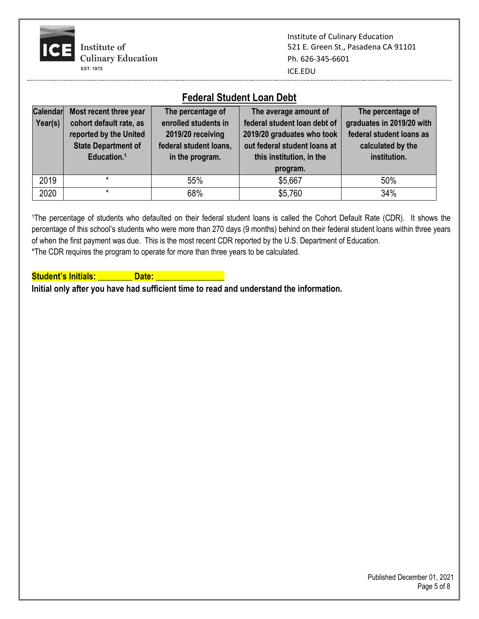

#### **Federal Student Loan Debt**

| Calendar<br>Year(s) | Most recent three year<br>cohort default rate, as<br>reported by the United<br><b>State Department of</b><br>Education. <sup>1</sup> | The percentage of<br>enrolled students in<br>2019/20 receiving<br>federal student loans,<br>in the program. | The average amount of<br>federal student loan debt of<br>2019/20 graduates who took<br>out federal student loans at<br>this institution, in the<br>program. | The percentage of<br>graduates in 2019/20 with<br>federal student loans as<br>calculated by the<br>institution. |
|---------------------|--------------------------------------------------------------------------------------------------------------------------------------|-------------------------------------------------------------------------------------------------------------|-------------------------------------------------------------------------------------------------------------------------------------------------------------|-----------------------------------------------------------------------------------------------------------------|
| 2019                | $\star$                                                                                                                              | 55%                                                                                                         | \$5,667                                                                                                                                                     | 50%                                                                                                             |
| 2020                | $\star$                                                                                                                              | 68%                                                                                                         | \$5,760                                                                                                                                                     | 34%                                                                                                             |

<sup>1</sup>The percentage of students who defaulted on their federal student loans is called the Cohort Default Rate (CDR). It shows the percentage of this school's students who were more than 270 days (9 months) behind on their federal student loans within three years of when the first payment was due. This is the most recent CDR reported by the U.S. Department of Education. \*The CDR requires the program to operate for more than three years to be calculated.

**Student's Initials: All Date: All Date:** All Date: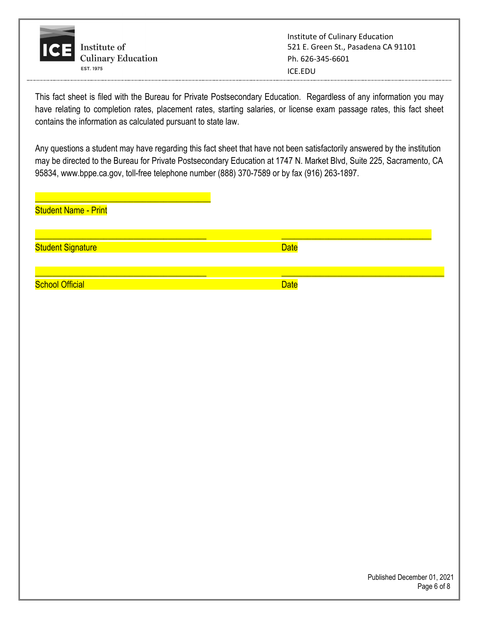

This fact sheet is filed with the Bureau for Private Postsecondary Education. Regardless of any information you may have relating to completion rates, placement rates, starting salaries, or license exam passage rates, this fact sheet contains the information as calculated pursuant to state law.

Any questions a student may have regarding this fact sheet that have not been satisfactorily answered by the institution may be directed to the Bureau for Private Postsecondary Education at 1747 N. Market Blvd, Suite 225, Sacramento, CA 95834, www.bppe.ca.gov, toll-free telephone number (888) 370-7589 or by fax (916) 263-1897.

| <b>Student Name - Print</b> |             |  |
|-----------------------------|-------------|--|
| <b>Student Signature</b>    | <b>Date</b> |  |
| <b>School Official</b>      | <b>Date</b> |  |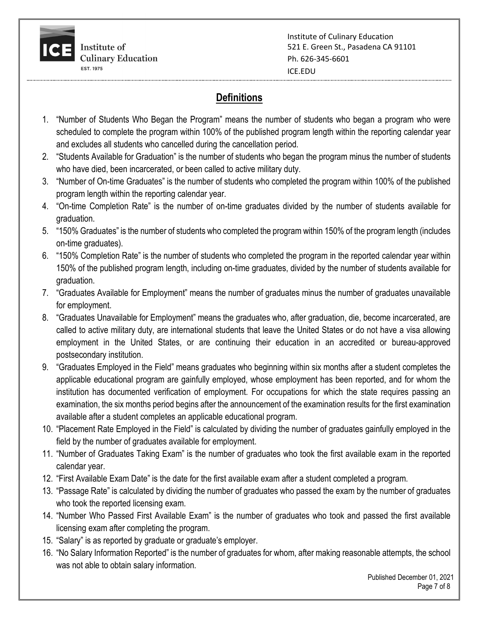

## **Definitions**

- 1. "Number of Students Who Began the Program" means the number of students who began a program who were scheduled to complete the program within 100% of the published program length within the reporting calendar year and excludes all students who cancelled during the cancellation period.
- 2. "Students Available for Graduation" is the number of students who began the program minus the number of students who have died, been incarcerated, or been called to active military duty.
- 3. "Number of On-time Graduates" is the number of students who completed the program within 100% of the published program length within the reporting calendar year.
- 4. "On-time Completion Rate" is the number of on-time graduates divided by the number of students available for graduation.
- 5. "150% Graduates" is the number of students who completed the program within 150% of the program length (includes on-time graduates).
- 6. "150% Completion Rate" is the number of students who completed the program in the reported calendar year within 150% of the published program length, including on-time graduates, divided by the number of students available for graduation.
- 7. "Graduates Available for Employment" means the number of graduates minus the number of graduates unavailable for employment.
- 8. "Graduates Unavailable for Employment" means the graduates who, after graduation, die, become incarcerated, are called to active military duty, are international students that leave the United States or do not have a visa allowing employment in the United States, or are continuing their education in an accredited or bureau-approved postsecondary institution.
- 9. "Graduates Employed in the Field" means graduates who beginning within six months after a student completes the applicable educational program are gainfully employed, whose employment has been reported, and for whom the institution has documented verification of employment. For occupations for which the state requires passing an examination, the six months period begins after the announcement of the examination results for the first examination available after a student completes an applicable educational program.
- 10. "Placement Rate Employed in the Field" is calculated by dividing the number of graduates gainfully employed in the field by the number of graduates available for employment.
- 11. "Number of Graduates Taking Exam" is the number of graduates who took the first available exam in the reported calendar year.
- 12. "First Available Exam Date" is the date for the first available exam after a student completed a program.
- 13. "Passage Rate" is calculated by dividing the number of graduates who passed the exam by the number of graduates who took the reported licensing exam.
- 14. "Number Who Passed First Available Exam" is the number of graduates who took and passed the first available licensing exam after completing the program.
- 15. "Salary" is as reported by graduate or graduate's employer.
- 16. "No Salary Information Reported" is the number of graduates for whom, after making reasonable attempts, the school was not able to obtain salary information.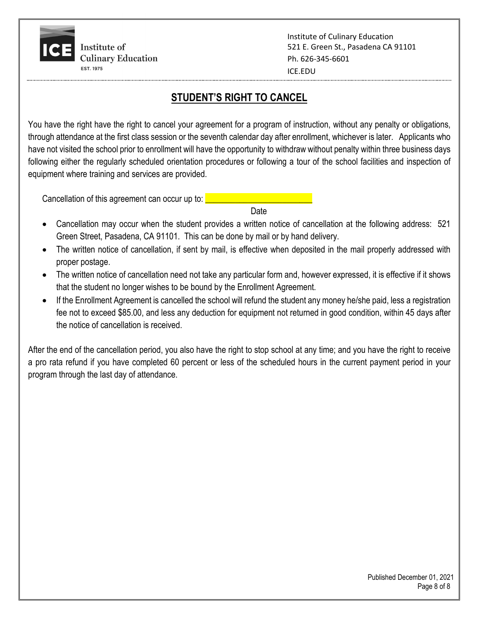Institute of Culinary Education 521 E. Green St., Pasadena CA 91101 Ph. 626-345-6601 ICE.EDU

## **STUDENT'S RIGHT TO CANCEL**

You have the right have the right to cancel your agreement for a program of instruction, without any penalty or obligations, through attendance at the first class session or the seventh calendar day after enrollment, whichever is later. Applicants who have not visited the school prior to enrollment will have the opportunity to withdraw without penalty within three business days following either the regularly scheduled orientation procedures or following a tour of the school facilities and inspection of equipment where training and services are provided.

Cancellation of this agreement can occur up to:

discussion of the contract of the contract of the contract of the contract of the contract of the contract of

- Cancellation may occur when the student provides a written notice of cancellation at the following address: 521 Green Street, Pasadena, CA 91101. This can be done by mail or by hand delivery.
- The written notice of cancellation, if sent by mail, is effective when deposited in the mail properly addressed with proper postage.
- The written notice of cancellation need not take any particular form and, however expressed, it is effective if it shows that the student no longer wishes to be bound by the Enrollment Agreement.
- If the Enrollment Agreement is cancelled the school will refund the student any money he/she paid, less a registration fee not to exceed \$85.00, and less any deduction for equipment not returned in good condition, within 45 days after the notice of cancellation is received.

After the end of the cancellation period, you also have the right to stop school at any time; and you have the right to receive a pro rata refund if you have completed 60 percent or less of the scheduled hours in the current payment period in your program through the last day of attendance.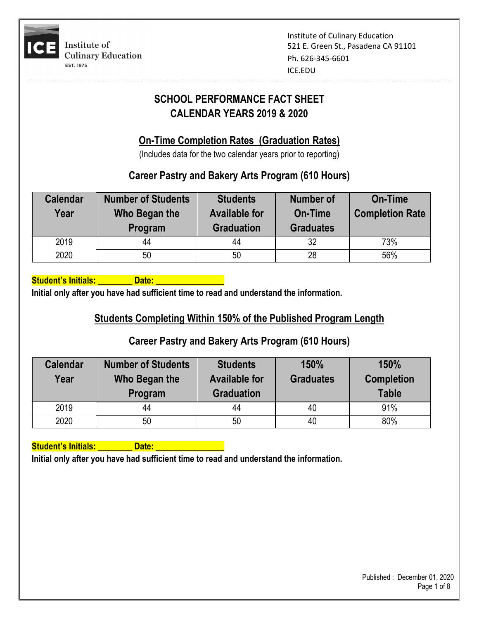

## **SCHOOL PERFORMANCE FACT SHEET CALENDAR YEARS 2019 & 2020**

#### **On-Time Completion Rates (Graduation Rates)**

(Includes data for the two calendar years prior to reporting)

## **Career Pastry and Bakery Arts Program (610 Hours)**

| <b>Calendar</b><br>Year | <b>Number of Students</b><br>Who Began the<br>Program | <b>Students</b><br><b>Available for</b><br><b>Graduation</b> | <b>Number of</b><br>On-Time<br><b>Graduates</b> | On-Time<br><b>Completion Rate</b> |  |
|-------------------------|-------------------------------------------------------|--------------------------------------------------------------|-------------------------------------------------|-----------------------------------|--|
| 2019                    | 44                                                    | 44                                                           | 32                                              | 73%                               |  |
| 2020                    | 50                                                    | 50                                                           | 28                                              | 56%                               |  |

**Student's Initials: Community Contract Contract Date:** 

**Initial only after you have had sufficient time to read and understand the information.**

## **Students Completing Within 150% of the Published Program Length**

## **Career Pastry and Bakery Arts Program (610 Hours)**

| <b>Calendar</b><br>Year | <b>Number of Students</b><br>Who Began the<br>Program | <b>Students</b><br><b>Available for</b><br><b>Graduation</b> | 150%<br><b>Graduates</b> | 150%<br><b>Completion</b><br><b>Table</b> |  |
|-------------------------|-------------------------------------------------------|--------------------------------------------------------------|--------------------------|-------------------------------------------|--|
| 2019                    | 44                                                    | 44                                                           | 40                       | 91%                                       |  |
| 2020                    | 50                                                    | 50                                                           | 40                       | 80%                                       |  |

**Student's Initials: \_\_\_\_\_\_\_\_ Date: \_\_\_\_\_\_\_\_\_\_\_\_\_\_\_\_**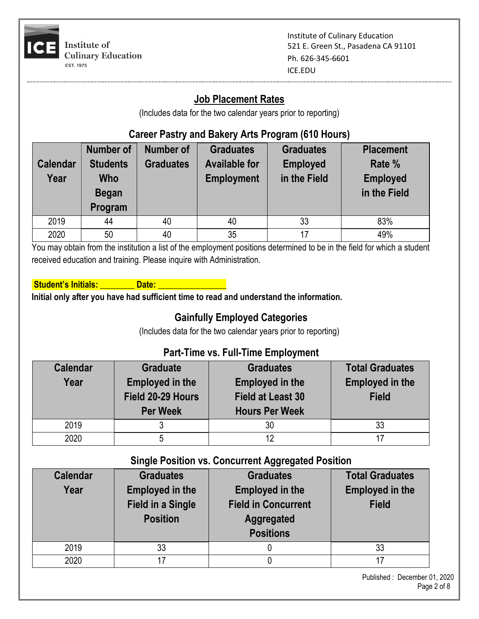

## **Job Placement Rates**

(Includes data for the two calendar years prior to reporting)

## **Career Pastry and Bakery Arts Program (610 Hours)**

| <b>Calendar</b><br>Year | <b>Number of</b><br><b>Students</b><br><b>Who</b><br><b>Began</b><br>Program | <b>Number of</b><br><b>Graduates</b> | <b>Graduates</b><br><b>Available for</b><br><b>Employment</b> | <b>Graduates</b><br><b>Employed</b><br>in the Field | <b>Placement</b><br>Rate %<br><b>Employed</b><br>in the Field |
|-------------------------|------------------------------------------------------------------------------|--------------------------------------|---------------------------------------------------------------|-----------------------------------------------------|---------------------------------------------------------------|
| 2019                    | 44                                                                           | 40                                   | 40                                                            | 33                                                  | 83%                                                           |
| 2020                    | 50                                                                           | 40                                   | 35                                                            | 17                                                  | 49%                                                           |

You may obtain from the institution a list of the employment positions determined to be in the field for which a student received education and training. Please inquire with Administration.

| <b>Student's Initials:</b> |
|----------------------------|
|----------------------------|

**Initial only after you have had sufficient time to read and understand the information.**

Date:

## **Gainfully Employed Categories**

(Includes data for the two calendar years prior to reporting)

#### **Part-Time vs. Full-Time Employment**

| <b>Calendar</b><br>Year | <b>Graduate</b><br><b>Employed in the</b><br>Field 20-29 Hours<br><b>Per Week</b> | <b>Graduates</b><br><b>Employed in the</b><br><b>Field at Least 30</b><br><b>Hours Per Week</b> | <b>Total Graduates</b><br><b>Employed in the</b><br><b>Field</b> |
|-------------------------|-----------------------------------------------------------------------------------|-------------------------------------------------------------------------------------------------|------------------------------------------------------------------|
| 2019                    |                                                                                   | 30                                                                                              | 33                                                               |
| 2020                    |                                                                                   |                                                                                                 | 17                                                               |

#### **Single Position vs. Concurrent Aggregated Position**

| <b>Calendar</b><br>Year | <b>Graduates</b><br><b>Employed in the</b><br><b>Field in a Single</b><br><b>Position</b> | <b>Graduates</b><br><b>Employed in the</b><br><b>Field in Concurrent</b><br><b>Aggregated</b><br><b>Positions</b> | <b>Total Graduates</b><br><b>Employed in the</b><br><b>Field</b> |
|-------------------------|-------------------------------------------------------------------------------------------|-------------------------------------------------------------------------------------------------------------------|------------------------------------------------------------------|
| 2019                    | 33                                                                                        |                                                                                                                   | 33                                                               |
| 2020                    | 17                                                                                        |                                                                                                                   |                                                                  |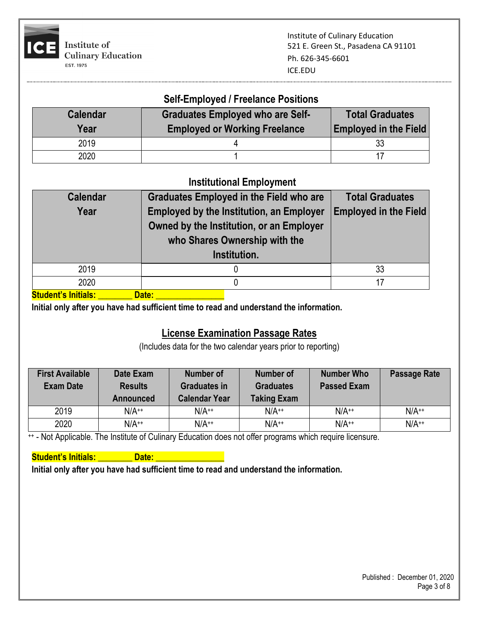

#### **Self-Employed / Freelance Positions**

| <b>Calendar</b><br>Year | <b>Graduates Employed who are Self-</b><br><b>Employed or Working Freelance</b> | <b>Total Graduates</b><br><b>Employed in the Field</b> |
|-------------------------|---------------------------------------------------------------------------------|--------------------------------------------------------|
| 2019                    |                                                                                 |                                                        |
| 2020                    |                                                                                 |                                                        |

#### **Institutional Employment**

| <b>Calendar</b><br>Year     | <b>Graduates Employed in the Field who are</b><br><b>Employed by the Institution, an Employer</b><br>Owned by the Institution, or an Employer<br>who Shares Ownership with the<br>Institution. | <b>Total Graduates</b><br><b>Employed in the Field</b> |
|-----------------------------|------------------------------------------------------------------------------------------------------------------------------------------------------------------------------------------------|--------------------------------------------------------|
| 2019                        |                                                                                                                                                                                                | 33                                                     |
| 2020                        |                                                                                                                                                                                                | 17                                                     |
| الململئات الملابسة والمربية | <b>Data</b>                                                                                                                                                                                    |                                                        |

**Student's Initials: \_\_\_\_\_\_\_\_ Date: \_\_\_\_\_\_\_\_\_\_\_\_\_\_\_\_**

**Initial only after you have had sufficient time to read and understand the information.**

#### **License Examination Passage Rates**

(Includes data for the two calendar years prior to reporting)

| <b>First Available</b><br><b>Exam Date</b> | Date Exam<br><b>Results</b><br>Announced | <b>Number of</b><br><b>Graduates in</b><br><b>Calendar Year</b> | Number of<br><b>Graduates</b><br><b>Taking Exam</b> | <b>Number Who</b><br><b>Passed Exam</b> | <b>Passage Rate</b> |
|--------------------------------------------|------------------------------------------|-----------------------------------------------------------------|-----------------------------------------------------|-----------------------------------------|---------------------|
| 2019                                       | $N/A^{++}$                               | $N/A^{++}$                                                      | $N/A^{++}$                                          | $N/A^{++}$                              | $N/A^{++}$          |
| 2020                                       | $N/A^{++}$                               | $N/A^{++}$                                                      | $N/A^{++}$                                          | $N/A^{++}$                              | $N/A^{++}$          |

++ - Not Applicable. The Institute of Culinary Education does not offer programs which require licensure.

**Student's Initials: All Date: All Date:** All Date: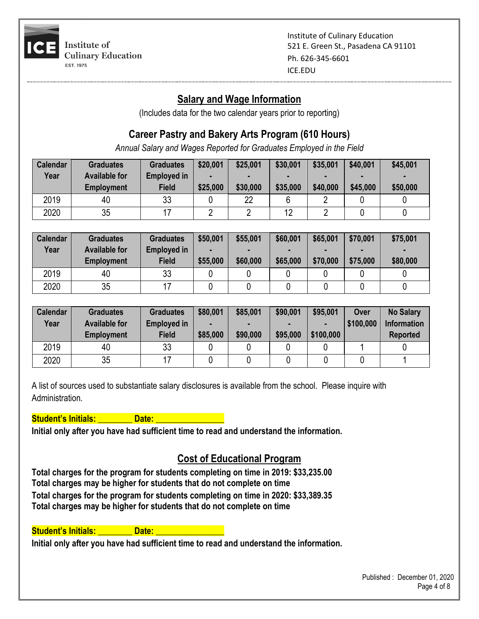

## **Salary and Wage Information**

(Includes data for the two calendar years prior to reporting)

## **Career Pastry and Bakery Arts Program (610 Hours)**

*Annual Salary and Wages Reported for Graduates Employed in the Field*

| <b>Calendar</b> | <b>Graduates</b>     | <b>Graduates</b>   | \$20,001 | \$25,001 | \$30,001 | \$35,001 | \$40,001 | \$45,001 |
|-----------------|----------------------|--------------------|----------|----------|----------|----------|----------|----------|
| Year            | <b>Available for</b> | <b>Employed in</b> |          |          |          |          |          |          |
|                 | <b>Employment</b>    | <b>Field</b>       | \$25,000 | \$30,000 | \$35,000 | \$40,000 | \$45,000 | \$50,000 |
| 2019            | 40                   | 33                 |          | າາ       |          |          |          |          |
| 2020            | 35                   |                    |          |          | 12       |          |          |          |

| Calendar<br>Year | <b>Graduates</b><br><b>Available for</b> | <b>Graduates</b><br><b>Employed in</b> | \$50,001 | \$55,001 | \$60,001<br><b>FOR</b> | \$65,001 | \$70,001 | \$75,001 |
|------------------|------------------------------------------|----------------------------------------|----------|----------|------------------------|----------|----------|----------|
|                  | <b>Employment</b>                        | <b>Field</b>                           | \$55,000 | \$60,000 | \$65,000               | \$70,000 | \$75,000 | \$80,000 |
| 2019             | 40                                       | 33                                     |          |          |                        |          |          |          |
| 2020             | 35                                       |                                        |          |          |                        |          |          |          |

| <b>Calendar</b> | <b>Graduates</b>     | <b>Graduates</b>   | \$80,001 | \$85,001 | \$90,001 | \$95,001  | Over      | <b>No Salary</b>   |
|-----------------|----------------------|--------------------|----------|----------|----------|-----------|-----------|--------------------|
| Year            | <b>Available for</b> | <b>Employed in</b> |          |          |          |           | \$100,000 | <b>Information</b> |
|                 | <b>Employment</b>    | <b>Field</b>       | \$85,000 | \$90,000 | \$95,000 | \$100,000 |           | <b>Reported</b>    |
| 2019            | 40                   | 33                 |          |          |          |           |           |                    |
| 2020            | 35                   |                    |          |          |          |           |           |                    |

A list of sources used to substantiate salary disclosures is available from the school. Please inquire with **Administration** 

#### **Student's Initials: All and Date: Letter Student in Student's Initials: Letter Student Student Student Student**

**Initial only after you have had sufficient time to read and understand the information.**

#### **Cost of Educational Program**

**Total charges for the program for students completing on time in 2019: \$33,235.00 Total charges may be higher for students that do not complete on time Total charges for the program for students completing on time in 2020: \$33,389.35 Total charges may be higher for students that do not complete on time**

**Student's Initials: Communisty Control**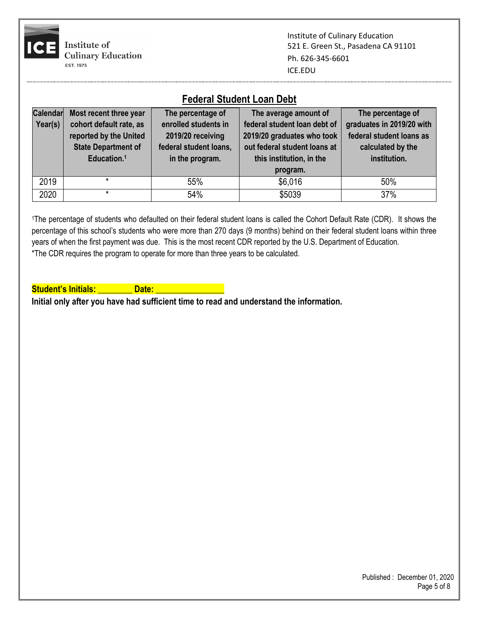

|                 | Federal Student Loan Dept  |                        |                              |                           |  |  |  |
|-----------------|----------------------------|------------------------|------------------------------|---------------------------|--|--|--|
| <b>Calendar</b> | Most recent three year     | The percentage of      | The average amount of        | The percentage of         |  |  |  |
| Year(s)         | cohort default rate, as    | enrolled students in   | federal student loan debt of | graduates in 2019/20 with |  |  |  |
|                 | reported by the United     | 2019/20 receiving      | 2019/20 graduates who took   | federal student loans as  |  |  |  |
|                 | <b>State Department of</b> | federal student loans, | out federal student loans at | calculated by the         |  |  |  |
|                 | Education. <sup>1</sup>    | in the program.        | this institution, in the     | institution.              |  |  |  |
|                 |                            |                        | program.                     |                           |  |  |  |
| 2019            | *                          | 55%                    | \$6,016                      | 50%                       |  |  |  |
| 2020            | $\star$                    | 54%                    | \$5039                       | 37%                       |  |  |  |

#### **Federal Student Loan Debt**

<sup>1</sup>The percentage of students who defaulted on their federal student loans is called the Cohort Default Rate (CDR). It shows the percentage of this school's students who were more than 270 days (9 months) behind on their federal student loans within three years of when the first payment was due. This is the most recent CDR reported by the U.S. Department of Education. \*The CDR requires the program to operate for more than three years to be calculated.

Student's Initials: **Note:** Date: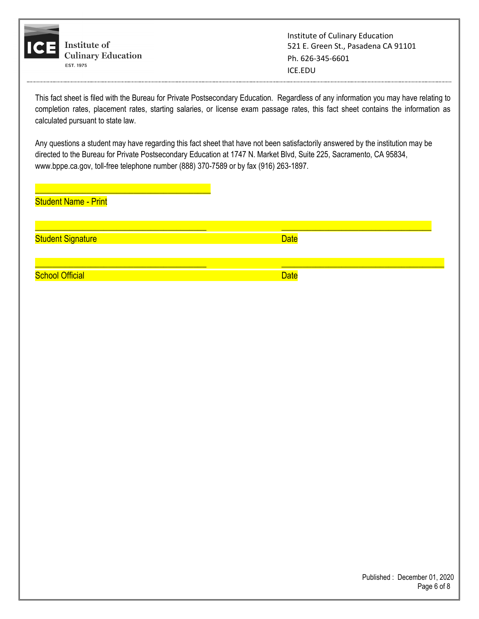

This fact sheet is filed with the Bureau for Private Postsecondary Education. Regardless of any information you may have relating to completion rates, placement rates, starting salaries, or license exam passage rates, this fact sheet contains the information as calculated pursuant to state law.

Any questions a student may have regarding this fact sheet that have not been satisfactorily answered by the institution may be directed to the Bureau for Private Postsecondary Education at 1747 N. Market Blvd, Suite 225, Sacramento, CA 95834, www.bppe.ca.gov, toll-free telephone number (888) 370-7589 or by fax (916) 263-1897.

\_\_\_\_\_\_\_\_\_\_\_\_\_\_\_\_\_\_\_\_\_\_\_\_\_\_\_\_\_\_\_\_\_\_\_\_\_\_\_\_ \_\_\_\_\_\_\_\_\_\_\_\_\_\_\_\_\_\_\_\_\_\_\_\_\_\_\_\_\_\_\_\_\_\_\_

\_\_\_\_\_\_\_\_\_\_\_\_\_\_\_\_\_\_\_\_\_\_\_\_\_\_\_\_\_\_\_\_\_\_\_\_\_\_\_\_ \_\_\_\_\_\_\_\_\_\_\_\_\_\_\_\_\_\_\_\_\_\_\_\_\_\_\_\_\_\_\_\_\_\_\_\_\_\_

Student Name - Print

\_\_\_\_\_\_\_\_\_\_\_\_\_\_\_\_\_\_\_\_\_\_\_\_\_\_\_\_\_\_\_\_\_\_\_\_\_\_\_\_\_

Student Signature Date Communication of the Date Date Date

**School Official Date** Date Control of the Control of the Date Date Date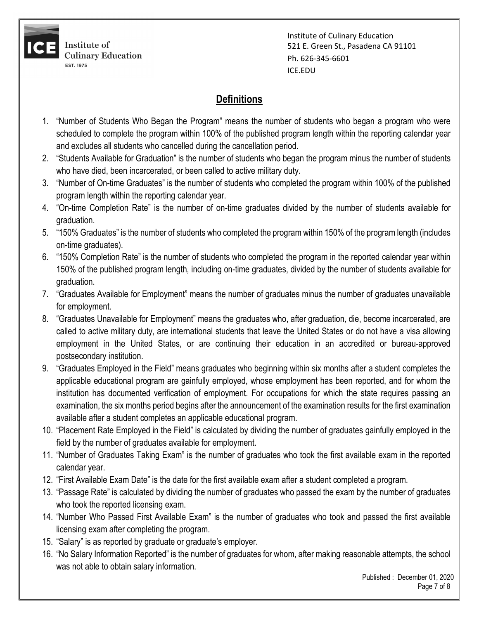

## **Definitions**

- 1. "Number of Students Who Began the Program" means the number of students who began a program who were scheduled to complete the program within 100% of the published program length within the reporting calendar year and excludes all students who cancelled during the cancellation period.
- 2. "Students Available for Graduation" is the number of students who began the program minus the number of students who have died, been incarcerated, or been called to active military duty.
- 3. "Number of On-time Graduates" is the number of students who completed the program within 100% of the published program length within the reporting calendar year.
- 4. "On-time Completion Rate" is the number of on-time graduates divided by the number of students available for graduation.
- 5. "150% Graduates" is the number of students who completed the program within 150% of the program length (includes on-time graduates).
- 6. "150% Completion Rate" is the number of students who completed the program in the reported calendar year within 150% of the published program length, including on-time graduates, divided by the number of students available for graduation.
- 7. "Graduates Available for Employment" means the number of graduates minus the number of graduates unavailable for employment.
- 8. "Graduates Unavailable for Employment" means the graduates who, after graduation, die, become incarcerated, are called to active military duty, are international students that leave the United States or do not have a visa allowing employment in the United States, or are continuing their education in an accredited or bureau-approved postsecondary institution.
- 9. "Graduates Employed in the Field" means graduates who beginning within six months after a student completes the applicable educational program are gainfully employed, whose employment has been reported, and for whom the institution has documented verification of employment. For occupations for which the state requires passing an examination, the six months period begins after the announcement of the examination results for the first examination available after a student completes an applicable educational program.
- 10. "Placement Rate Employed in the Field" is calculated by dividing the number of graduates gainfully employed in the field by the number of graduates available for employment.
- 11. "Number of Graduates Taking Exam" is the number of graduates who took the first available exam in the reported calendar year.
- 12. "First Available Exam Date" is the date for the first available exam after a student completed a program.
- 13. "Passage Rate" is calculated by dividing the number of graduates who passed the exam by the number of graduates who took the reported licensing exam.
- 14. "Number Who Passed First Available Exam" is the number of graduates who took and passed the first available licensing exam after completing the program.
- 15. "Salary" is as reported by graduate or graduate's employer.
- 16. "No Salary Information Reported" is the number of graduates for whom, after making reasonable attempts, the school was not able to obtain salary information.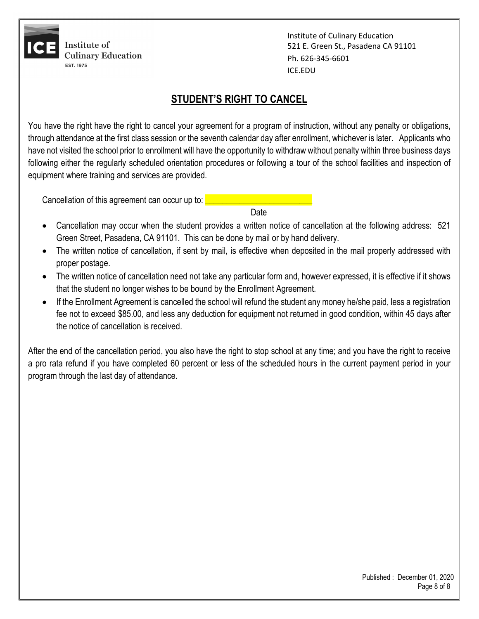

## **STUDENT'S RIGHT TO CANCEL**

You have the right have the right to cancel your agreement for a program of instruction, without any penalty or obligations, through attendance at the first class session or the seventh calendar day after enrollment, whichever is later. Applicants who have not visited the school prior to enrollment will have the opportunity to withdraw without penalty within three business days following either the regularly scheduled orientation procedures or following a tour of the school facilities and inspection of equipment where training and services are provided.

Cancellation of this agreement can occur up to:

discussion of the contract of the contract of the contract of the contract of the contract of the contract of

- Cancellation may occur when the student provides a written notice of cancellation at the following address: 521 Green Street, Pasadena, CA 91101. This can be done by mail or by hand delivery.
- The written notice of cancellation, if sent by mail, is effective when deposited in the mail properly addressed with proper postage.
- The written notice of cancellation need not take any particular form and, however expressed, it is effective if it shows that the student no longer wishes to be bound by the Enrollment Agreement.
- If the Enrollment Agreement is cancelled the school will refund the student any money he/she paid, less a registration fee not to exceed \$85.00, and less any deduction for equipment not returned in good condition, within 45 days after the notice of cancellation is received.

After the end of the cancellation period, you also have the right to stop school at any time; and you have the right to receive a pro rata refund if you have completed 60 percent or less of the scheduled hours in the current payment period in your program through the last day of attendance.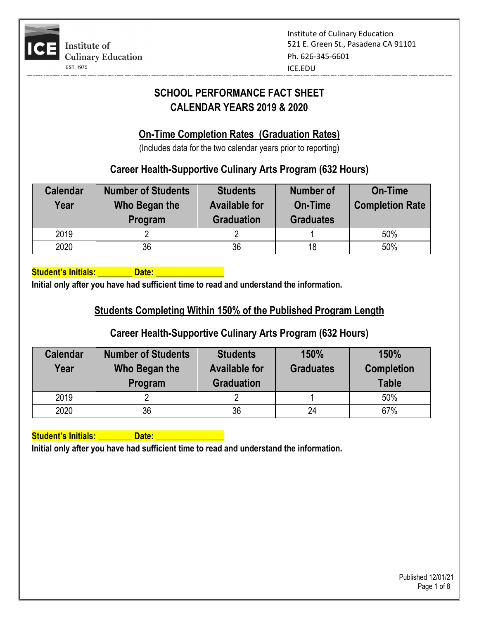

# **SCHOOL PERFORMANCE FACT SHEET CALENDAR YEARS 2019 & 2020**

## **On-Time Completion Rates (Graduation Rates)**

(Includes data for the two calendar years prior to reporting)

## **Career Health-Supportive Culinary Arts Program (632 Hours)**

| <b>Calendar</b><br>Year | <b>Number of Students</b><br>Who Began the<br>Program | <b>Students</b><br><b>Available for</b><br><b>Graduation</b> | <b>Number of</b><br><b>On-Time</b><br><b>Graduates</b> | <b>On-Time</b><br><b>Completion Rate</b> |
|-------------------------|-------------------------------------------------------|--------------------------------------------------------------|--------------------------------------------------------|------------------------------------------|
| 2019                    |                                                       |                                                              |                                                        | 50%                                      |
| 2020                    | 36                                                    | 36                                                           | 18                                                     | 50%                                      |

**Student's Initials: Community Contract Contract Date:** 

**Initial only after you have had sufficient time to read and understand the information.**

## **Students Completing Within 150% of the Published Program Length**

## **Career Health-Supportive Culinary Arts Program (632 Hours)**

| <b>Calendar</b><br>Year | <b>Number of Students</b><br>Who Began the<br>Program | <b>Students</b><br><b>Available for</b><br><b>Graduation</b> | 150%<br><b>Graduates</b> | 150%<br><b>Completion</b><br><b>Table</b> |
|-------------------------|-------------------------------------------------------|--------------------------------------------------------------|--------------------------|-------------------------------------------|
| 2019                    |                                                       |                                                              |                          | 50%                                       |
| 2020                    | 36                                                    | 36                                                           | 24                       | 67%                                       |

**Student's Initials: Algebra Contract Contract Contract Contract Contract Contract Contract Contract Contract Contract Contract Contract Contract Contract Contract Contract Contract Contract Contract Contract Contract Cont**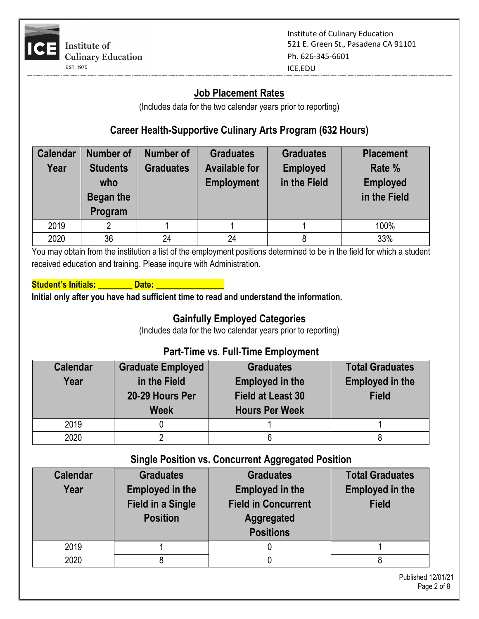

#### **Job Placement Rates**

(Includes data for the two calendar years prior to reporting)

## **Career Health-Supportive Culinary Arts Program (632 Hours)**

| <b>Calendar</b> | <b>Number of</b> | Number of        | <b>Graduates</b>     | <b>Graduates</b> | <b>Placement</b> |
|-----------------|------------------|------------------|----------------------|------------------|------------------|
| Year            | <b>Students</b>  | <b>Graduates</b> | <b>Available for</b> | <b>Employed</b>  | Rate %           |
|                 | who              |                  | <b>Employment</b>    | in the Field     | <b>Employed</b>  |
|                 | Began the        |                  |                      |                  | in the Field     |
|                 | Program          |                  |                      |                  |                  |
| 2019            | 2                |                  |                      |                  | 100%             |
| 2020            | 36               | 24               | 24                   |                  | 33%              |

You may obtain from the institution a list of the employment positions determined to be in the field for which a student received education and training. Please inquire with Administration.

| <b>Student's Initials:</b> | Date: |  |
|----------------------------|-------|--|
|                            |       |  |

**Initial only after you have had sufficient time to read and understand the information.**

## **Gainfully Employed Categories**

(Includes data for the two calendar years prior to reporting)

#### **Part-Time vs. Full-Time Employment**

| <b>Calendar</b><br>Year | <b>Graduate Employed</b><br>in the Field<br>20-29 Hours Per<br><b>Week</b> | <b>Graduates</b><br><b>Employed in the</b><br><b>Field at Least 30</b><br><b>Hours Per Week</b> | <b>Total Graduates</b><br><b>Employed in the</b><br><b>Field</b> |
|-------------------------|----------------------------------------------------------------------------|-------------------------------------------------------------------------------------------------|------------------------------------------------------------------|
| 2019                    |                                                                            |                                                                                                 |                                                                  |
| 2020                    |                                                                            |                                                                                                 |                                                                  |

#### **Single Position vs. Concurrent Aggregated Position**

| <b>Calendar</b><br>Year | <b>Graduates</b><br><b>Employed in the</b><br><b>Field in a Single</b><br><b>Position</b> | <b>Graduates</b><br><b>Employed in the</b><br><b>Field in Concurrent</b><br>Aggregated<br><b>Positions</b> | <b>Total Graduates</b><br><b>Employed in the</b><br><b>Field</b> |
|-------------------------|-------------------------------------------------------------------------------------------|------------------------------------------------------------------------------------------------------------|------------------------------------------------------------------|
| 2019                    |                                                                                           |                                                                                                            |                                                                  |
| 2020                    |                                                                                           |                                                                                                            |                                                                  |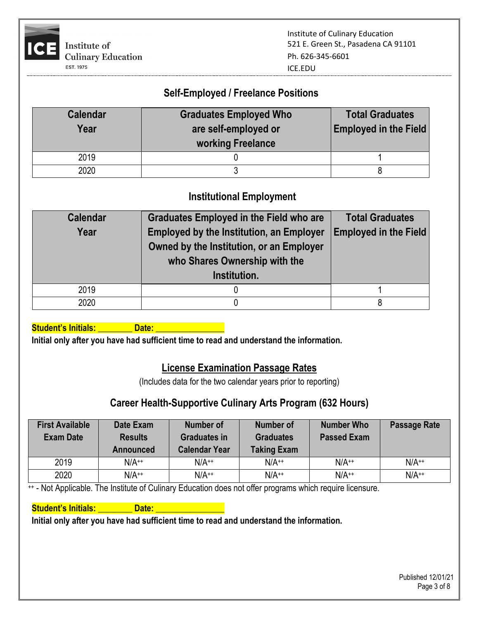

# **Self-Employed / Freelance Positions**

| <b>Calendar</b><br>Year | <b>Graduates Employed Who</b><br>are self-employed or<br>working Freelance | <b>Total Graduates</b><br><b>Employed in the Field</b> |
|-------------------------|----------------------------------------------------------------------------|--------------------------------------------------------|
| 2019                    |                                                                            |                                                        |
| 2020                    |                                                                            |                                                        |

#### **Institutional Employment**

| <b>Calendar</b><br>Year | <b>Graduates Employed in the Field who are</b><br><b>Employed by the Institution, an Employer</b><br>Owned by the Institution, or an Employer<br>who Shares Ownership with the<br>Institution. | <b>Total Graduates</b><br><b>Employed in the Field</b> |
|-------------------------|------------------------------------------------------------------------------------------------------------------------------------------------------------------------------------------------|--------------------------------------------------------|
| 2019                    |                                                                                                                                                                                                |                                                        |
| 2020                    |                                                                                                                                                                                                |                                                        |

Student's Initials: **\_\_\_\_\_\_\_\_\_\_ Date: \_\_\_\_\_\_** 

**Initial only after you have had sufficient time to read and understand the information.**

#### **License Examination Passage Rates**

(Includes data for the two calendar years prior to reporting)

#### **Career Health-Supportive Culinary Arts Program (632 Hours)**

| <b>First Available</b><br><b>Exam Date</b> | Date Exam<br><b>Results</b><br><b>Announced</b> | Number of<br><b>Graduates in</b><br><b>Calendar Year</b> | <b>Number of</b><br><b>Graduates</b><br><b>Taking Exam</b> | <b>Number Who</b><br><b>Passed Exam</b> | <b>Passage Rate</b> |
|--------------------------------------------|-------------------------------------------------|----------------------------------------------------------|------------------------------------------------------------|-----------------------------------------|---------------------|
| 2019                                       | $N/A^{++}$                                      | $N/A^{++}$                                               | $N/A^{++}$                                                 | $N/A^{++}$                              | $N/A^{++}$          |
| 2020                                       | $N/A^{++}$                                      | $N/A^{++}$                                               | $N/A^{++}$                                                 | $N/A^{++}$                              | $N/A^{++}$          |

<sup>++</sup> - Not Applicable. The Institute of Culinary Education does not offer programs which require licensure.

#### **Student's Initials: All Date: All Date:** All Date: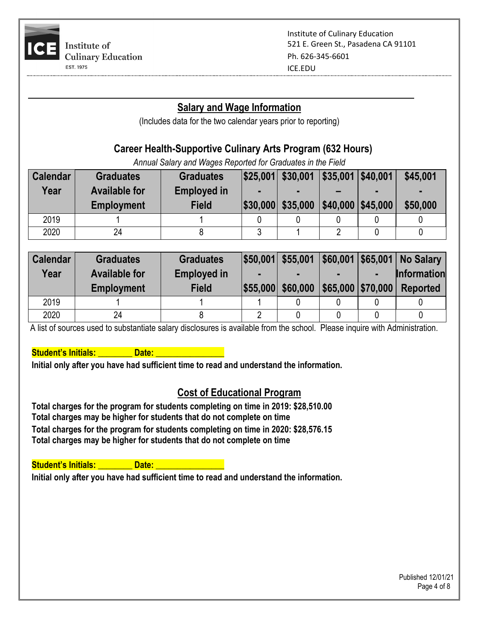

#### **Salary and Wage Information**

(Includes data for the two calendar years prior to reporting)

## **Career Health-Supportive Culinary Arts Program (632 Hours)**

*Annual Salary and Wages Reported for Graduates in the Field*

| <b>Calendar</b><br>Year | <b>Graduates</b><br><b>Available for</b><br><b>Employment</b> | <b>Graduates</b><br><b>Employed in</b><br><b>Field</b> | $ \$25,001 $ \$30,001   \$35,001   \$40,001<br>$ \$30,000 $ \$35,000   \$40,000   \$45,000 | $\overline{\phantom{0}}$ | $\blacksquare$ | \$45,001<br>\$50,000 |
|-------------------------|---------------------------------------------------------------|--------------------------------------------------------|--------------------------------------------------------------------------------------------|--------------------------|----------------|----------------------|
| 2019                    |                                                               |                                                        |                                                                                            |                          |                |                      |
| 2020                    | 24                                                            |                                                        |                                                                                            |                          |                |                      |

| <b>Calendar</b> | <b>Graduates</b>     | <b>Graduates</b>   |                   |                           | $ $50,001 $ \$55,001   \$60,001   \$65,001   No Salary |
|-----------------|----------------------|--------------------|-------------------|---------------------------|--------------------------------------------------------|
| Year            | <b>Available for</b> | <b>Employed in</b> |                   |                           | <b>Information</b>                                     |
|                 | <b>Employment</b>    | <b>Field</b>       | \$55,000 \$60,000 | $ $65,000$ $ $70,000$ $ $ | Reported                                               |
| 2019            |                      |                    |                   |                           |                                                        |
| 2020            | 24                   |                    |                   |                           |                                                        |

A list of sources used to substantiate salary disclosures is available from the school. Please inquire with Administration.

**Student's Initials: Construct Date:** 

**Initial only after you have had sufficient time to read and understand the information.**

#### **Cost of Educational Program**

**Total charges for the program for students completing on time in 2019: \$28,510.00 Total charges may be higher for students that do not complete on time Total charges for the program for students completing on time in 2020: \$28,576.15 Total charges may be higher for students that do not complete on time**

**Student's Initials: All Date: All Date:** All Date: All Date: All Date: All Date: All Date: All Date: All Date: All Date: All Date: All Date: All Date: All Date: All Date: All Date: All Date: All Date: All Date: All Date: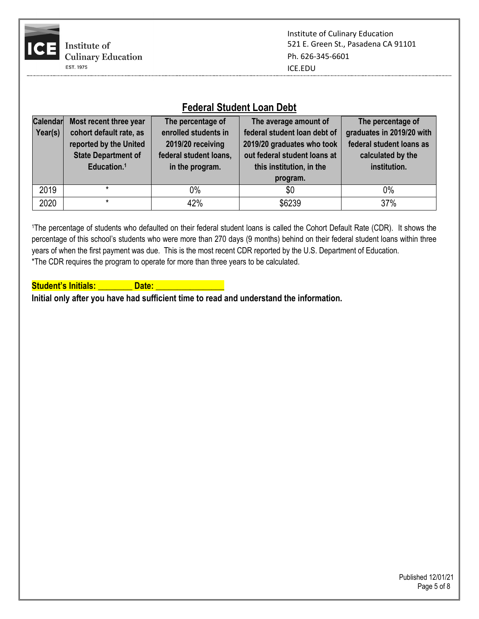

#### **Federal Student Loan Debt**

| Calendar | Most recent three year     | The percentage of      | The average amount of        | The percentage of         |
|----------|----------------------------|------------------------|------------------------------|---------------------------|
| Year(s)  | cohort default rate, as    | enrolled students in   | federal student loan debt of | graduates in 2019/20 with |
|          | reported by the United     | 2019/20 receiving      | 2019/20 graduates who took   | federal student loans as  |
|          | <b>State Department of</b> | federal student loans, | out federal student loans at | calculated by the         |
|          | Education. <sup>1</sup>    | in the program.        | this institution, in the     | institution.              |
|          |                            |                        | program.                     |                           |
| 2019     |                            | 0%                     | \$0                          | $0\%$                     |
| 2020     | *                          | 42%                    | \$6239                       | 37%                       |

1The percentage of students who defaulted on their federal student loans is called the Cohort Default Rate (CDR). It shows the percentage of this school's students who were more than 270 days (9 months) behind on their federal student loans within three years of when the first payment was due. This is the most recent CDR reported by the U.S. Department of Education. \*The CDR requires the program to operate for more than three years to be calculated.

**Student's Initials: All and Date: Date:**  $\blacksquare$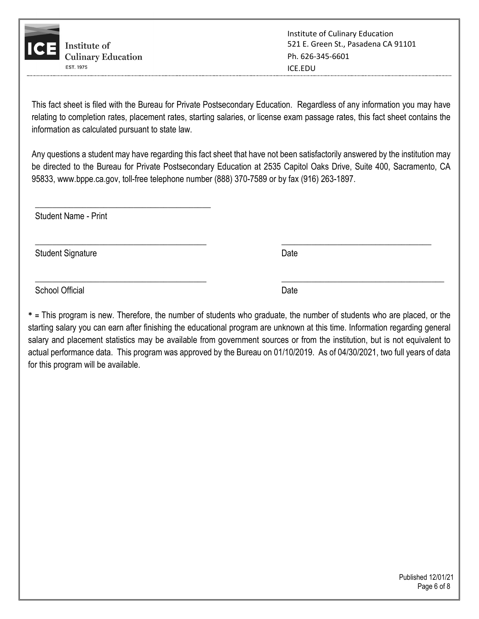

This fact sheet is filed with the Bureau for Private Postsecondary Education. Regardless of any information you may have relating to completion rates, placement rates, starting salaries, or license exam passage rates, this fact sheet contains the information as calculated pursuant to state law.

Any questions a student may have regarding this fact sheet that have not been satisfactorily answered by the institution may be directed to the Bureau for Private Postsecondary Education at 2535 Capitol Oaks Drive, Suite 400, Sacramento, CA 95833, [www.bppe.ca.gov,](http://www.bppe.ca.gov/) toll-free telephone number (888) 370-7589 or by fax (916) 263-1897.

\_\_\_\_\_\_\_\_\_\_\_\_\_\_\_\_\_\_\_\_\_\_\_\_\_\_\_\_\_\_\_\_\_\_\_\_\_\_\_\_ \_\_\_\_\_\_\_\_\_\_\_\_\_\_\_\_\_\_\_\_\_\_\_\_\_\_\_\_\_\_\_\_\_\_\_

Student Name - Print

\_\_\_\_\_\_\_\_\_\_\_\_\_\_\_\_\_\_\_\_\_\_\_\_\_\_\_\_\_\_\_\_\_\_\_\_\_\_\_\_\_

Student Signature Date Date Controllers and Date Date Date

School Official Date

**\* =** This program is new. Therefore, the number of students who graduate, the number of students who are placed, or the starting salary you can earn after finishing the educational program are unknown at this time. Information regarding general salary and placement statistics may be available from government sources or from the institution, but is not equivalent to actual performance data. This program was approved by the Bureau on 01/10/2019. As of 04/30/2021, two full years of data for this program will be available.

 $\_$  , and the set of the set of the set of the set of the set of the set of the set of the set of the set of the set of the set of the set of the set of the set of the set of the set of the set of the set of the set of th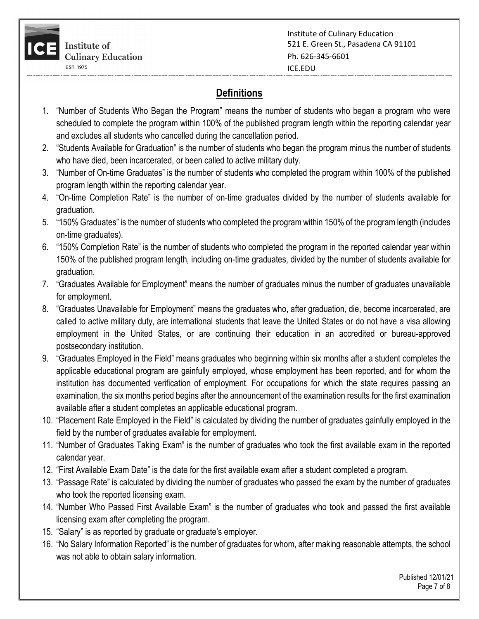

# **Definitions**

- 1. "Number of Students Who Began the Program" means the number of students who began a program who were scheduled to complete the program within 100% of the published program length within the reporting calendar year and excludes all students who cancelled during the cancellation period.
- 2. "Students Available for Graduation" is the number of students who began the program minus the number of students who have died, been incarcerated, or been called to active military duty.
- 3. "Number of On-time Graduates" is the number of students who completed the program within 100% of the published program length within the reporting calendar year.
- 4. "On-time Completion Rate" is the number of on-time graduates divided by the number of students available for graduation.
- 5. "150% Graduates" is the number of students who completed the program within 150% of the program length (includes on-time graduates).
- 6. "150% Completion Rate" is the number of students who completed the program in the reported calendar year within 150% of the published program length, including on-time graduates, divided by the number of students available for graduation.
- 7. "Graduates Available for Employment" means the number of graduates minus the number of graduates unavailable for employment.
- 8. "Graduates Unavailable for Employment" means the graduates who, after graduation, die, become incarcerated, are called to active military duty, are international students that leave the United States or do not have a visa allowing employment in the United States, or are continuing their education in an accredited or bureau-approved postsecondary institution.
- 9. "Graduates Employed in the Field" means graduates who beginning within six months after a student completes the applicable educational program are gainfully employed, whose employment has been reported, and for whom the institution has documented verification of employment. For occupations for which the state requires passing an examination, the six months period begins after the announcement of the examination results for the first examination available after a student completes an applicable educational program.
- 10. "Placement Rate Employed in the Field" is calculated by dividing the number of graduates gainfully employed in the field by the number of graduates available for employment.
- 11. "Number of Graduates Taking Exam" is the number of graduates who took the first available exam in the reported calendar year.
- 12. "First Available Exam Date" is the date for the first available exam after a student completed a program.
- 13. "Passage Rate" is calculated by dividing the number of graduates who passed the exam by the number of graduates who took the reported licensing exam.
- 14. "Number Who Passed First Available Exam" is the number of graduates who took and passed the first available licensing exam after completing the program.
- 15. "Salary" is as reported by graduate or graduate's employer.
- 16. "No Salary Information Reported" is the number of graduates for whom, after making reasonable attempts, the school was not able to obtain salary information.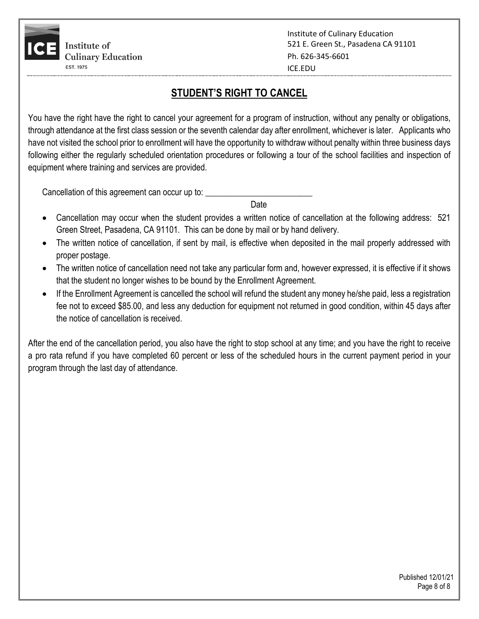

## **STUDENT'S RIGHT TO CANCEL**

You have the right have the right to cancel your agreement for a program of instruction, without any penalty or obligations, through attendance at the first class session or the seventh calendar day after enrollment, whichever is later. Applicants who have not visited the school prior to enrollment will have the opportunity to withdraw without penalty within three business days following either the regularly scheduled orientation procedures or following a tour of the school facilities and inspection of equipment where training and services are provided.

Cancellation of this agreement can occur up to:

and the contract of the contract of the contract of the contract of the contract of the contract of the contract of the contract of the contract of the contract of the contract of the contract of the contract of the contra

- Cancellation may occur when the student provides a written notice of cancellation at the following address: 521 Green Street, Pasadena, CA 91101. This can be done by mail or by hand delivery.
- The written notice of cancellation, if sent by mail, is effective when deposited in the mail properly addressed with proper postage.
- The written notice of cancellation need not take any particular form and, however expressed, it is effective if it shows that the student no longer wishes to be bound by the Enrollment Agreement.
- If the Enrollment Agreement is cancelled the school will refund the student any money he/she paid, less a registration fee not to exceed \$85.00, and less any deduction for equipment not returned in good condition, within 45 days after the notice of cancellation is received.

After the end of the cancellation period, you also have the right to stop school at any time; and you have the right to receive a pro rata refund if you have completed 60 percent or less of the scheduled hours in the current payment period in your program through the last day of attendance.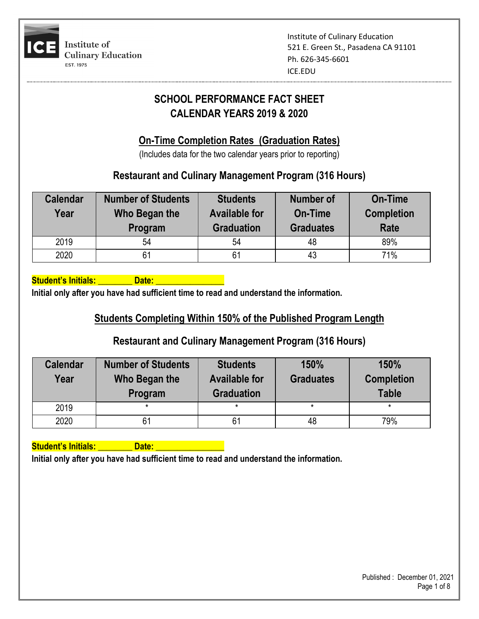

## **SCHOOL PERFORMANCE FACT SHEET CALENDAR YEARS 2019 & 2020**

## **On-Time Completion Rates (Graduation Rates)**

(Includes data for the two calendar years prior to reporting)

## **Restaurant and Culinary Management Program (316 Hours)**

| <b>Calendar</b><br>Year | <b>Number of Students</b><br>Who Began the<br>Program | <b>Students</b><br><b>Available for</b><br><b>Graduation</b> | <b>Number of</b><br><b>On-Time</b><br><b>Graduates</b> | <b>On-Time</b><br><b>Completion</b><br><b>Rate</b> |
|-------------------------|-------------------------------------------------------|--------------------------------------------------------------|--------------------------------------------------------|----------------------------------------------------|
| 2019                    | 54                                                    | 54                                                           | 48                                                     | 89%                                                |
| 2020                    | 61                                                    | 61                                                           | 43                                                     | 71%                                                |

Student's Initials: **Quart Containst Line Containst Line Contains** 

**Initial only after you have had sufficient time to read and understand the information.**

## **Students Completing Within 150% of the Published Program Length**

## **Restaurant and Culinary Management Program (316 Hours)**

| <b>Calendar</b><br>Year | <b>Number of Students</b><br>Who Began the<br>Program | <b>Students</b><br><b>Available for</b><br><b>Graduation</b> | 150%<br><b>Graduates</b> | 150%<br><b>Completion</b><br><b>Table</b> |
|-------------------------|-------------------------------------------------------|--------------------------------------------------------------|--------------------------|-------------------------------------------|
| 2019                    |                                                       | $\star$                                                      |                          |                                           |
| 2020                    |                                                       | 61                                                           | 48                       | 79%                                       |

**Student's Initials: \_\_\_\_\_\_\_\_ Date: \_\_\_\_\_\_\_\_\_\_\_\_\_\_\_\_**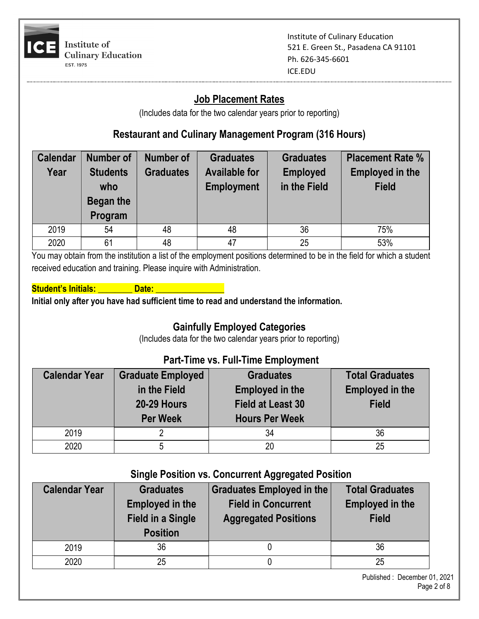

## **Job Placement Rates**

(Includes data for the two calendar years prior to reporting)

#### **Restaurant and Culinary Management Program (316 Hours)**

| <b>Calendar</b> | <b>Number of</b> | <b>Number of</b> | <b>Graduates</b>     | <b>Graduates</b> | <b>Placement Rate %</b> |
|-----------------|------------------|------------------|----------------------|------------------|-------------------------|
| Year            | <b>Students</b>  | <b>Graduates</b> | <b>Available for</b> | <b>Employed</b>  | <b>Employed in the</b>  |
|                 | who              |                  | <b>Employment</b>    | in the Field     | <b>Field</b>            |
|                 | Began the        |                  |                      |                  |                         |
|                 | Program          |                  |                      |                  |                         |
| 2019            | 54               | 48               | 48                   | 36               | 75%                     |
| 2020            | 61               | 48               | 47                   | 25               | 53%                     |

You may obtain from the institution a list of the employment positions determined to be in the field for which a student received education and training. Please inquire with Administration.

#### **Student's Initials: Communist Communist Communist Communist Communist Communist Communist Communist Communist Communist Communist Communist Communist Communist Communist Communist Communist Communist Communist Communist C**

**Initial only after you have had sufficient time to read and understand the information.**

#### **Gainfully Employed Categories**

(Includes data for the two calendar years prior to reporting)

#### **Part-Time vs. Full-Time Employment**

| <b>Calendar Year</b> | <b>Graduate Employed</b>           | <b>Graduates</b>                                   | <b>Total Graduates</b>                 |  |
|----------------------|------------------------------------|----------------------------------------------------|----------------------------------------|--|
|                      | in the Field<br><b>20-29 Hours</b> | <b>Employed in the</b><br><b>Field at Least 30</b> | <b>Employed in the</b><br><b>Field</b> |  |
|                      | <b>Per Week</b>                    | <b>Hours Per Week</b>                              |                                        |  |
| 2019                 |                                    | 34                                                 | 36                                     |  |
| 2020                 | ხ                                  | 20                                                 | 25                                     |  |

#### **Single Position vs. Concurrent Aggregated Position**

| <b>Calendar Year</b> | <b>Graduates</b><br><b>Employed in the</b><br><b>Field in a Single</b><br><b>Position</b> | Graduates Employed in the<br><b>Field in Concurrent</b><br><b>Aggregated Positions</b> | <b>Total Graduates</b><br><b>Employed in the</b><br><b>Field</b> |
|----------------------|-------------------------------------------------------------------------------------------|----------------------------------------------------------------------------------------|------------------------------------------------------------------|
| 2019                 | 36                                                                                        |                                                                                        | 36                                                               |
| 2020                 | 25                                                                                        |                                                                                        | 25                                                               |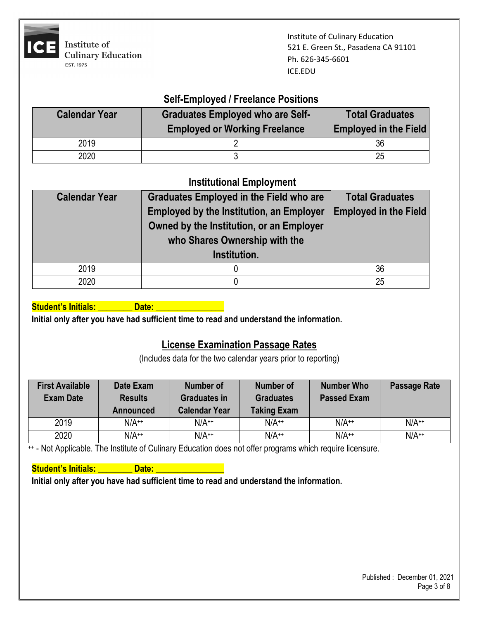

#### **Self-Employed / Freelance Positions**

| <b>Calendar Year</b> | <b>Graduates Employed who are Self-</b><br><b>Employed or Working Freelance</b> | <b>Total Graduates</b><br><b>Employed in the Field</b> |
|----------------------|---------------------------------------------------------------------------------|--------------------------------------------------------|
| 2019                 |                                                                                 | 36                                                     |
| 2020                 |                                                                                 | 25                                                     |

#### **Institutional Employment**

| <b>Calendar Year</b> | <b>Graduates Employed in the Field who are</b><br><b>Employed by the Institution, an Employer</b><br>Owned by the Institution, or an Employer<br>who Shares Ownership with the<br>Institution. | <b>Total Graduates</b><br><b>Employed in the Field</b> |
|----------------------|------------------------------------------------------------------------------------------------------------------------------------------------------------------------------------------------|--------------------------------------------------------|
| 2019                 |                                                                                                                                                                                                | 36                                                     |
| 2020                 |                                                                                                                                                                                                | 25                                                     |

#### **Student's Initials: All and Date: Date:** All and Date:

**Initial only after you have had sufficient time to read and understand the information.**

## **License Examination Passage Rates**

(Includes data for the two calendar years prior to reporting)

| <b>First Available</b><br><b>Exam Date</b> | Date Exam<br><b>Results</b><br>Announced | <b>Number of</b><br><b>Graduates in</b><br><b>Calendar Year</b> | Number of<br><b>Graduates</b><br><b>Taking Exam</b> | <b>Number Who</b><br><b>Passed Exam</b> | <b>Passage Rate</b> |
|--------------------------------------------|------------------------------------------|-----------------------------------------------------------------|-----------------------------------------------------|-----------------------------------------|---------------------|
| 2019                                       | $N/A^{++}$                               | $N/A^{++}$                                                      | $N/A^{++}$                                          | $N/A^{++}$                              | $N/A^{++}$          |
| 2020                                       | $N/A^{++}$                               | $N/A^{++}$                                                      | $N/A^{++}$                                          | $N/A^{++}$                              | $N/A^{++}$          |

++ - Not Applicable. The Institute of Culinary Education does not offer programs which require licensure.

#### **Student's Initials: Construction Date:** And Date: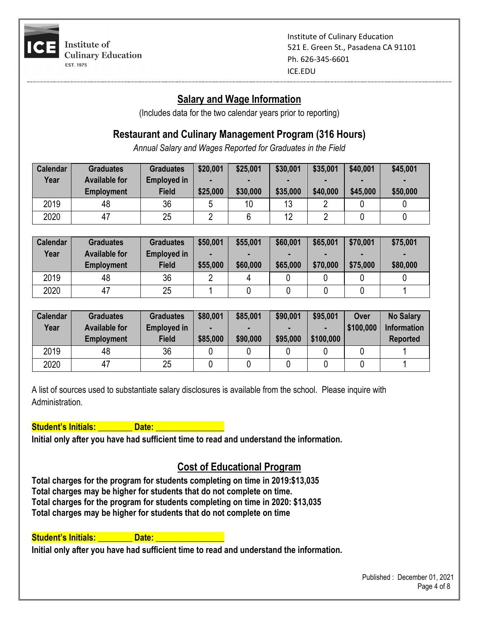

#### **Salary and Wage Information**

(Includes data for the two calendar years prior to reporting)

## **Restaurant and Culinary Management Program (316 Hours)**

*Annual Salary and Wages Reported for Graduates in the Field*

| <b>Calendar</b> | <b>Graduates</b>     | <b>Graduates</b> | \$20,001 | \$25,001 | \$30,001 | \$35,001 | \$40,001 | \$45,001 |
|-----------------|----------------------|------------------|----------|----------|----------|----------|----------|----------|
| Year            | <b>Available for</b> | Employed in      |          |          |          |          |          |          |
|                 | <b>Employment</b>    | <b>Field</b>     | \$25,000 | \$30,000 | \$35,000 | \$40,000 | \$45,000 | \$50,000 |
| 2019            | 48                   | 36               |          | 10       | 13       |          |          |          |
| 2020            | 47                   | 25               |          |          | 12       |          |          |          |

| <b>Calendar</b> | <b>Graduates</b>                          | <b>Graduates</b>                   | \$50,001 | \$55,001 | \$60,001 | \$65,001      | \$70,001 | \$75,001 |
|-----------------|-------------------------------------------|------------------------------------|----------|----------|----------|---------------|----------|----------|
| Year            | <b>Available for</b><br><b>Employment</b> | <b>Employed in</b><br><b>Field</b> | \$55,000 | \$60,000 | \$65,000 | -<br>\$70,000 | \$75,000 | \$80,000 |
| 2019            | 48                                        | 36                                 |          | 4        |          |               |          |          |
| 2020            | 47                                        | 25                                 |          |          |          |               |          |          |

| <b>Calendar</b><br>Year | <b>Graduates</b><br><b>Available for</b> | <b>Graduates</b><br><b>Employed in</b> | \$80,001 | \$85,001 | \$90,001<br><b>FOR</b> | \$95,001  | <b>Over</b><br>\$100,000 | <b>No Salary</b><br><b>Information</b> |
|-------------------------|------------------------------------------|----------------------------------------|----------|----------|------------------------|-----------|--------------------------|----------------------------------------|
|                         | <b>Employment</b>                        | <b>Field</b>                           | \$85,000 | \$90,000 | \$95,000               | \$100,000 |                          | <b>Reported</b>                        |
| 2019                    | 48                                       | 36                                     |          |          |                        |           |                          |                                        |
| 2020                    | 47                                       | 25                                     |          |          |                        |           |                          |                                        |

A list of sources used to substantiate salary disclosures is available from the school. Please inquire with Administration.

**Student's Initials: All and Date:** 2014

**Initial only after you have had sufficient time to read and understand the information.**

## **Cost of Educational Program**

**Total charges for the program for students completing on time in 2019:\$13,035 Total charges may be higher for students that do not complete on time. Total charges for the program for students completing on time in 2020: \$13,035 Total charges may be higher for students that do not complete on time**

#### Student's Initials: **We Date: We Date:** We have a state of the state of the state of the state of the state of the state of the state of the state of the state of the state of the state of the state of the state of the sta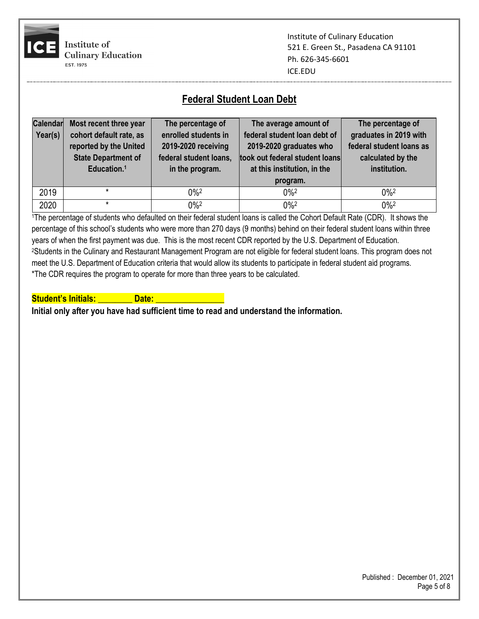

Institute of Culinary Education 521 E. Green St., Pasadena CA 91101 Ph. 626-345-6601 ICE.EDU

## **Federal Student Loan Debt**

| <b>Calendar</b><br>Year(s) | Most recent three year<br>cohort default rate, as<br>reported by the United<br><b>State Department of</b><br>Education. <sup>1</sup> | The percentage of<br>enrolled students in<br>2019-2020 receiving<br>federal student loans,<br>in the program. | The average amount of<br>federal student loan debt of<br>2019-2020 graduates who<br>took out federal student loans<br>at this institution, in the<br>program. | The percentage of<br>graduates in 2019 with<br>federal student loans as<br>calculated by the<br>institution. |
|----------------------------|--------------------------------------------------------------------------------------------------------------------------------------|---------------------------------------------------------------------------------------------------------------|---------------------------------------------------------------------------------------------------------------------------------------------------------------|--------------------------------------------------------------------------------------------------------------|
| 2019                       |                                                                                                                                      | $0\%2$                                                                                                        | $0\%2$                                                                                                                                                        | $0\%2$                                                                                                       |
| 2020                       |                                                                                                                                      | $0\%2$                                                                                                        | $0\%2$                                                                                                                                                        | $0\%2$                                                                                                       |

1The percentage of students who defaulted on their federal student loans is called the Cohort Default Rate (CDR). It shows the percentage of this school's students who were more than 270 days (9 months) behind on their federal student loans within three years of when the first payment was due. This is the most recent CDR reported by the U.S. Department of Education. 2Students in the Culinary and Restaurant Management Program are not eligible for federal student loans. This program does not meet the U.S. Department of Education criteria that would allow its students to participate in federal student aid programs. \*The CDR requires the program to operate for more than three years to be calculated.

**Student's Initials: Communisty Communisty Communisty**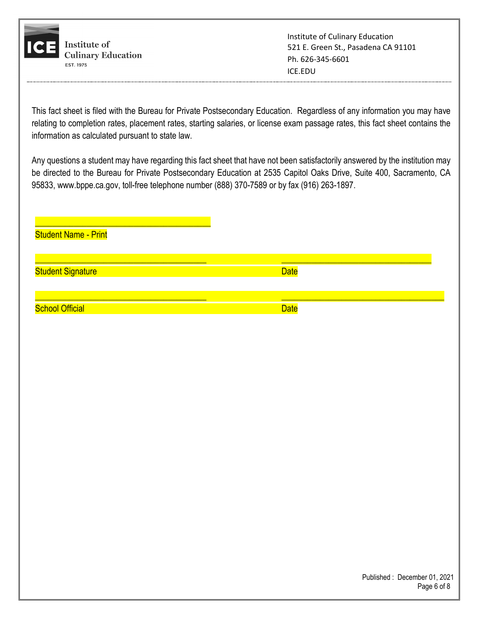

This fact sheet is filed with the Bureau for Private Postsecondary Education. Regardless of any information you may have relating to completion rates, placement rates, starting salaries, or license exam passage rates, this fact sheet contains the information as calculated pursuant to state law.

Any questions a student may have regarding this fact sheet that have not been satisfactorily answered by the institution may be directed to the Bureau for Private Postsecondary Education at 2535 Capitol Oaks Drive, Suite 400, Sacramento, CA 95833, [www.bppe.ca.gov,](http://www.bppe.ca.gov/) toll-free telephone number (888) 370-7589 or by fax (916) 263-1897.

| <b>Student Name - Print</b> |             |
|-----------------------------|-------------|
| <b>Student Signature</b>    | <b>Date</b> |
| <b>School Official</b>      | <b>Date</b> |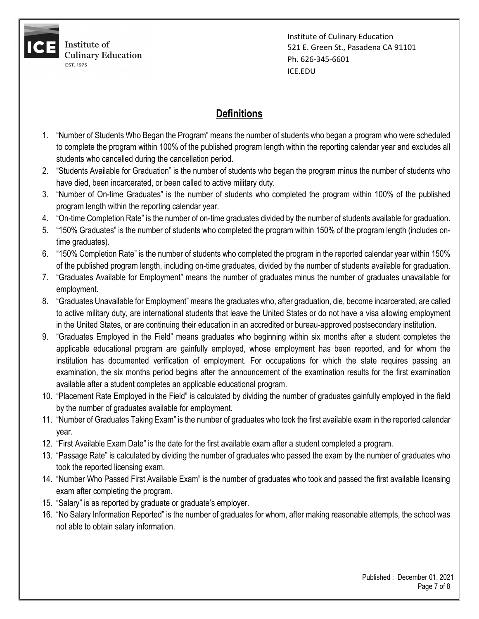

## **Definitions**

- 1. "Number of Students Who Began the Program" means the number of students who began a program who were scheduled to complete the program within 100% of the published program length within the reporting calendar year and excludes all students who cancelled during the cancellation period.
- 2. "Students Available for Graduation" is the number of students who began the program minus the number of students who have died, been incarcerated, or been called to active military duty.
- 3. "Number of On-time Graduates" is the number of students who completed the program within 100% of the published program length within the reporting calendar year.
- 4. "On-time Completion Rate" is the number of on-time graduates divided by the number of students available for graduation.
- 5. "150% Graduates" is the number of students who completed the program within 150% of the program length (includes ontime graduates).
- 6. "150% Completion Rate" is the number of students who completed the program in the reported calendar year within 150% of the published program length, including on-time graduates, divided by the number of students available for graduation.
- 7. "Graduates Available for Employment" means the number of graduates minus the number of graduates unavailable for employment.
- 8. "Graduates Unavailable for Employment" means the graduates who, after graduation, die, become incarcerated, are called to active military duty, are international students that leave the United States or do not have a visa allowing employment in the United States, or are continuing their education in an accredited or bureau-approved postsecondary institution.
- 9. "Graduates Employed in the Field" means graduates who beginning within six months after a student completes the applicable educational program are gainfully employed, whose employment has been reported, and for whom the institution has documented verification of employment. For occupations for which the state requires passing an examination, the six months period begins after the announcement of the examination results for the first examination available after a student completes an applicable educational program.
- 10. "Placement Rate Employed in the Field" is calculated by dividing the number of graduates gainfully employed in the field by the number of graduates available for employment.
- 11. "Number of Graduates Taking Exam" is the number of graduates who took the first available exam in the reported calendar year.
- 12. "First Available Exam Date" is the date for the first available exam after a student completed a program.
- 13. "Passage Rate" is calculated by dividing the number of graduates who passed the exam by the number of graduates who took the reported licensing exam.
- 14. "Number Who Passed First Available Exam" is the number of graduates who took and passed the first available licensing exam after completing the program.
- 15. "Salary" is as reported by graduate or graduate's employer.
- 16. "No Salary Information Reported" is the number of graduates for whom, after making reasonable attempts, the school was not able to obtain salary information.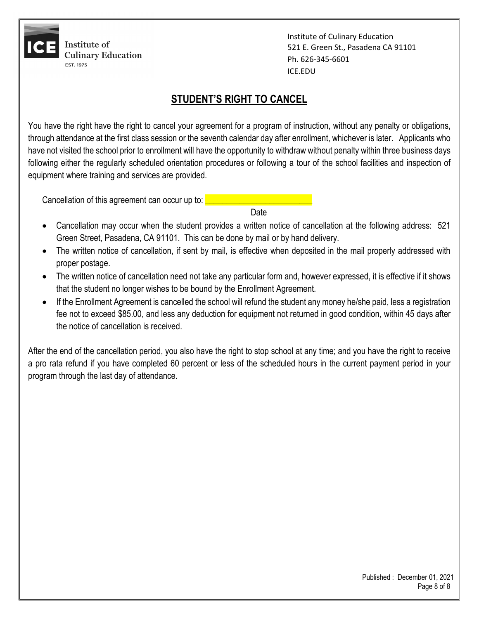

## **STUDENT'S RIGHT TO CANCEL**

You have the right have the right to cancel your agreement for a program of instruction, without any penalty or obligations, through attendance at the first class session or the seventh calendar day after enrollment, whichever is later. Applicants who have not visited the school prior to enrollment will have the opportunity to withdraw without penalty within three business days following either the regularly scheduled orientation procedures or following a tour of the school facilities and inspection of equipment where training and services are provided.

Cancellation of this agreement can occur up to:

discussion of the contract of the contract of the contract of the contract of the contract of the contract of

- Cancellation may occur when the student provides a written notice of cancellation at the following address: 521 Green Street, Pasadena, CA 91101. This can be done by mail or by hand delivery.
- The written notice of cancellation, if sent by mail, is effective when deposited in the mail properly addressed with proper postage.
- The written notice of cancellation need not take any particular form and, however expressed, it is effective if it shows that the student no longer wishes to be bound by the Enrollment Agreement.
- If the Enrollment Agreement is cancelled the school will refund the student any money he/she paid, less a registration fee not to exceed \$85.00, and less any deduction for equipment not returned in good condition, within 45 days after the notice of cancellation is received.

After the end of the cancellation period, you also have the right to stop school at any time; and you have the right to receive a pro rata refund if you have completed 60 percent or less of the scheduled hours in the current payment period in your program through the last day of attendance.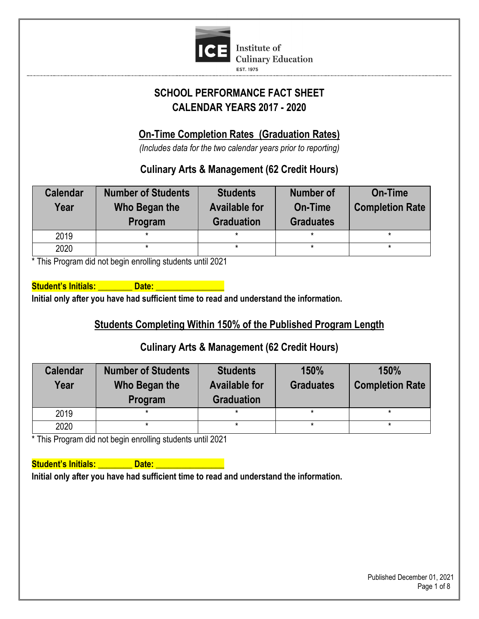

# **SCHOOL PERFORMANCE FACT SHEET CALENDAR YEARS 2017 - 2020**

# **On-Time Completion Rates (Graduation Rates)**

*(Includes data for the two calendar years prior to reporting)*

## **Culinary Arts & Management (62 Credit Hours)**

| <b>Calendar</b><br>Year | <b>Number of Students</b><br>Who Began the<br>Program | <b>Students</b><br><b>Available for</b><br><b>Graduation</b> | <b>Number of</b><br>On-Time<br><b>Graduates</b> | <b>On-Time</b><br><b>Completion Rate</b> |
|-------------------------|-------------------------------------------------------|--------------------------------------------------------------|-------------------------------------------------|------------------------------------------|
| 2019                    |                                                       | *                                                            | *                                               |                                          |
| 2020                    | $\star$                                               | $\star$                                                      | $\star$                                         |                                          |

\* This Program did not begin enrolling students until 2021

**Student's Initials: Constructs Initial only after you have had sufficient time to read and understand the information.**

## **Students Completing Within 150% of the Published Program Length**

## **Culinary Arts & Management (62 Credit Hours)**

| <b>Calendar</b><br>Year | <b>Number of Students</b><br>Who Began the<br>Program | <b>Students</b><br><b>Available for</b><br><b>Graduation</b> | 150%<br><b>Graduates</b> | 150%<br><b>Completion Rate</b> |
|-------------------------|-------------------------------------------------------|--------------------------------------------------------------|--------------------------|--------------------------------|
| 2019                    |                                                       | *                                                            |                          |                                |
| 2020                    |                                                       |                                                              |                          |                                |

\* This Program did not begin enrolling students until 2021

**Student's Initials: Community Community Community**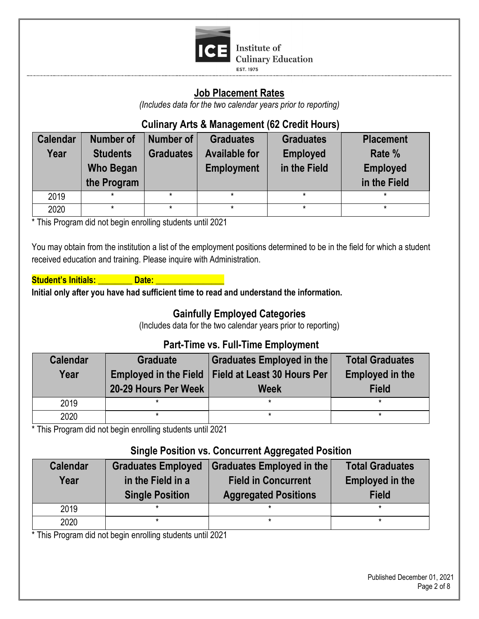

#### **Job Placement Rates**

*(Includes data for the two calendar years prior to reporting)*

## **Culinary Arts & Management (62 Credit Hours)**

| <b>Calendar</b><br>Year | Number of<br><b>Students</b><br><b>Who Began</b><br>the Program | Number of<br><b>Graduates</b> | <b>Graduates</b><br><b>Available for</b><br><b>Employment</b> | <b>Graduates</b><br><b>Employed</b><br>in the Field | <b>Placement</b><br>Rate %<br><b>Employed</b><br>in the Field |
|-------------------------|-----------------------------------------------------------------|-------------------------------|---------------------------------------------------------------|-----------------------------------------------------|---------------------------------------------------------------|
| 2019                    | ×                                                               |                               |                                                               |                                                     | $\star$                                                       |
| 2020                    | *                                                               |                               |                                                               | *                                                   | $\star$                                                       |

\* This Program did not begin enrolling students until 2021

You may obtain from the institution a list of the employment positions determined to be in the field for which a student received education and training. Please inquire with Administration.

**Student's Initials: All Date: All Date:** All Date:

**Initial only after you have had sufficient time to read and understand the information.**

## **Gainfully Employed Categories**

(Includes data for the two calendar years prior to reporting)

## **Part-Time vs. Full-Time Employment**

| <b>Calendar</b><br>Year | <b>Graduate</b><br>20-29 Hours Per Week | Graduates Employed in the<br>Employed in the Field   Field at Least 30 Hours Per<br><b>Week</b> | <b>Total Graduates</b><br><b>Employed in the</b><br><b>Field</b> |
|-------------------------|-----------------------------------------|-------------------------------------------------------------------------------------------------|------------------------------------------------------------------|
| 2019                    |                                         | $\star$                                                                                         | $\star$                                                          |
| 2020                    |                                         | $\star$                                                                                         |                                                                  |

\* This Program did not begin enrolling students until 2021

## **Single Position vs. Concurrent Aggregated Position**

| <b>Calendar</b> | <b>Graduates Employed</b> | Graduates Employed in the   | <b>Total Graduates</b> |  |  |
|-----------------|---------------------------|-----------------------------|------------------------|--|--|
| Year            | in the Field in a         | <b>Field in Concurrent</b>  | <b>Employed in the</b> |  |  |
|                 | <b>Single Position</b>    | <b>Aggregated Positions</b> | <b>Field</b>           |  |  |
| 2019            |                           |                             |                        |  |  |
| 2020            |                           |                             | *                      |  |  |

\* This Program did not begin enrolling students until 2021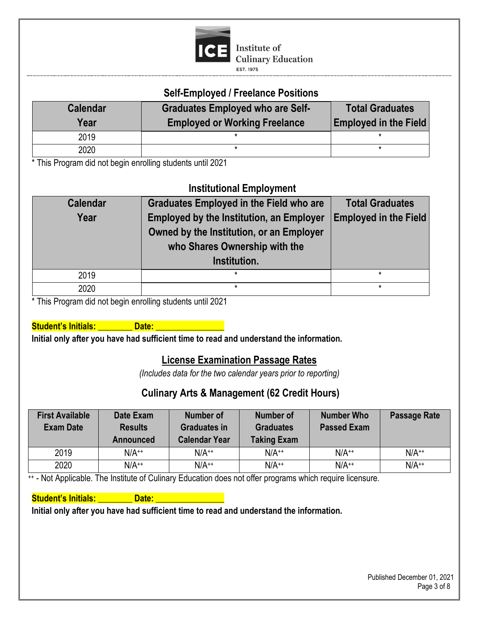

#### **Self-Employed / Freelance Positions**

| <b>Calendar</b><br>Year | <b>Graduates Employed who are Self-</b><br><b>Employed or Working Freelance</b> | <b>Total Graduates</b><br><b>Employed in the Field</b> |  |  |
|-------------------------|---------------------------------------------------------------------------------|--------------------------------------------------------|--|--|
| 2019                    |                                                                                 |                                                        |  |  |
| 2020                    |                                                                                 |                                                        |  |  |

\* This Program did not begin enrolling students until 2021

## **Institutional Employment**

| <b>Calendar</b><br>Year | <b>Graduates Employed in the Field who are</b><br><b>Employed by the Institution, an Employer</b><br>Owned by the Institution, or an Employer<br>who Shares Ownership with the<br>Institution. | <b>Total Graduates</b><br><b>Employed in the Field</b> |
|-------------------------|------------------------------------------------------------------------------------------------------------------------------------------------------------------------------------------------|--------------------------------------------------------|
| 2019                    | $\star$                                                                                                                                                                                        | *                                                      |
| 2020                    | $\star$                                                                                                                                                                                        | *                                                      |

\* This Program did not begin enrolling students until 2021

**Student's Initials: \_\_\_\_\_\_\_\_ Date: \_\_\_\_\_\_\_\_\_\_\_\_\_\_\_\_**

**Initial only after you have had sufficient time to read and understand the information.**

#### **License Examination Passage Rates**

*(Includes data for the two calendar years prior to reporting)*

## **Culinary Arts & Management (62 Credit Hours)**

| <b>First Available</b><br><b>Exam Date</b> | Date Exam<br><b>Results</b><br>Announced | <b>Number of</b><br><b>Graduates in</b><br><b>Calendar Year</b> | <b>Number of</b><br><b>Graduates</b><br><b>Taking Exam</b> | <b>Number Who</b><br><b>Passed Exam</b> | Passage Rate |
|--------------------------------------------|------------------------------------------|-----------------------------------------------------------------|------------------------------------------------------------|-----------------------------------------|--------------|
| 2019                                       | $N/A^{++}$                               | $N/A^{++}$                                                      | $N/A^{++}$                                                 | $N/A^{++}$                              | $N/A^{++}$   |
| 2020                                       | $N/A^{++}$                               | $N/A^{++}$                                                      | $N/A^{++}$                                                 | $N/A^{++}$                              | $N/A^{++}$   |

<sup>++</sup> - Not Applicable. The Institute of Culinary Education does not offer programs which require licensure.

#### **Student's Initials: All Date: All Date:** All Date: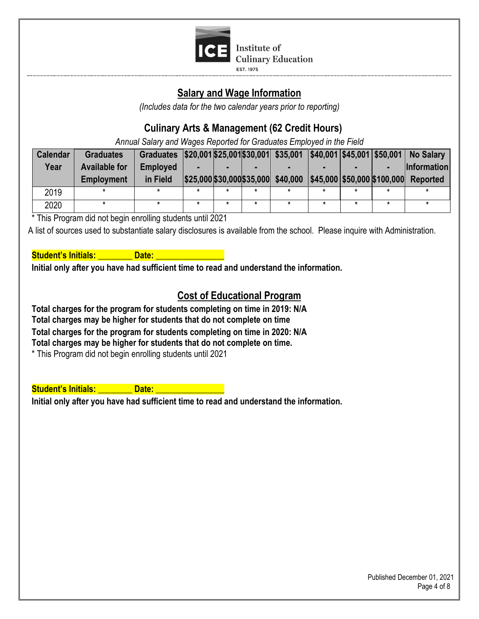

**EST. 1975** 

## **Salary and Wage Information**

*(Includes data for the two calendar years prior to reporting)*

## **Culinary Arts & Management (62 Credit Hours)**

*Annual Salary and Wages Reported for Graduates Employed in the Field*

| <b>Calendar</b> | <b>Graduates</b>     | Graduates   \$20,001 \$25,001 \$30,001 \$35,001 \$40,001 \$45,001   \$50,001   No Salary |  |                                                              |   |  |                    |
|-----------------|----------------------|------------------------------------------------------------------------------------------|--|--------------------------------------------------------------|---|--|--------------------|
| Year            | <b>Available for</b> | <b>Employed</b>                                                                          |  |                                                              |   |  | <b>Information</b> |
|                 | <b>Employment</b>    | in Field                                                                                 |  | $ $25,000 $30,000 $35,000 $40,000 $45,000 $50,000 $100,000 $ |   |  | <b>Reported</b>    |
| 2019            |                      |                                                                                          |  |                                                              | * |  |                    |
| 2020            |                      |                                                                                          |  |                                                              |   |  |                    |

\* This Program did not begin enrolling students until 2021

A list of sources used to substantiate salary disclosures is available from the school. Please inquire with Administration.

#### **Student's Initials: \_\_\_\_\_\_\_\_ Date: \_\_\_\_\_\_\_\_\_\_\_\_\_\_\_\_**

**Initial only after you have had sufficient time to read and understand the information.**

## **Cost of Educational Program**

**Total charges for the program for students completing on time in 2019: N/A Total charges may be higher for students that do not complete on time Total charges for the program for students completing on time in 2020: N/A Total charges may be higher for students that do not complete on time.**

\* This Program did not begin enrolling students until 2021

**Student's Initials: All Date: All Date:** All Date: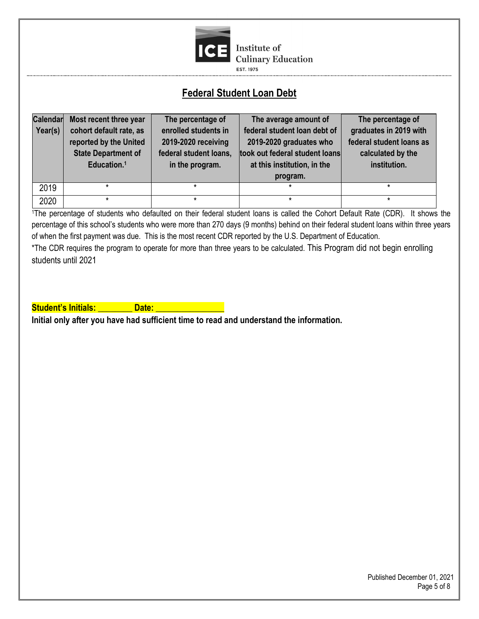

## **Federal Student Loan Debt**

| <b>Calendar</b><br>Year(s) | Most recent three year<br>cohort default rate, as<br>reported by the United<br><b>State Department of</b><br>Education. <sup>1</sup> | The percentage of<br>enrolled students in<br>2019-2020 receiving<br>federal student loans,<br>in the program. | The average amount of<br>federal student loan debt of<br>2019-2020 graduates who<br>took out federal student loans<br>at this institution, in the<br>program. | The percentage of<br>graduates in 2019 with<br>federal student loans as<br>calculated by the<br>institution. |
|----------------------------|--------------------------------------------------------------------------------------------------------------------------------------|---------------------------------------------------------------------------------------------------------------|---------------------------------------------------------------------------------------------------------------------------------------------------------------|--------------------------------------------------------------------------------------------------------------|
| 2019                       |                                                                                                                                      | ÷                                                                                                             | $\star$                                                                                                                                                       | ÷                                                                                                            |
| 2020                       |                                                                                                                                      | $\star$                                                                                                       | $\star$                                                                                                                                                       |                                                                                                              |

<sup>1</sup>The percentage of students who defaulted on their federal student loans is called the Cohort Default Rate (CDR). It shows the percentage of this school's students who were more than 270 days (9 months) behind on their federal student loans within three years of when the first payment was due. This is the most recent CDR reported by the U.S. Department of Education.

\*The CDR requires the program to operate for more than three years to be calculated. This Program did not begin enrolling students until 2021

**Student's Initials: All Date: All Date:** All Date: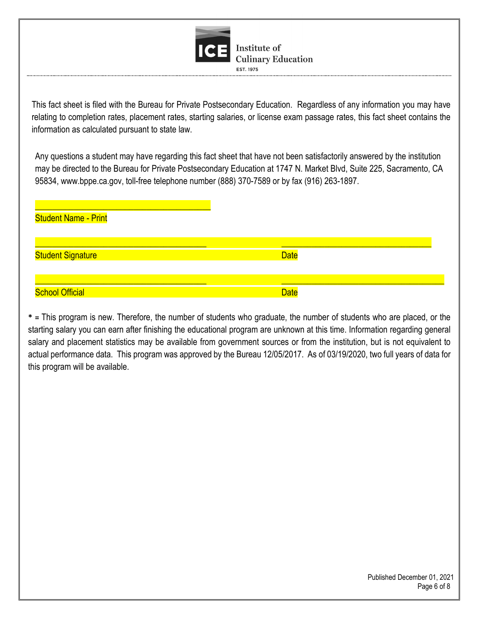

This fact sheet is filed with the Bureau for Private Postsecondary Education. Regardless of any information you may have relating to completion rates, placement rates, starting salaries, or license exam passage rates, this fact sheet contains the information as calculated pursuant to state law.

Any questions a student may have regarding this fact sheet that have not been satisfactorily answered by the institution may be directed to the Bureau for Private Postsecondary Education at 1747 N. Market Blvd, Suite 225, Sacramento, CA 95834, www.bppe.ca.gov, toll-free telephone number (888) 370-7589 or by fax (916) 263-1897.

| <b>Student Name - Print</b> |             |
|-----------------------------|-------------|
| <b>Student Signature</b>    | <b>Date</b> |
| <b>School Official</b>      | <b>Date</b> |

**\* =** This program is new. Therefore, the number of students who graduate, the number of students who are placed, or the starting salary you can earn after finishing the educational program are unknown at this time. Information regarding general salary and placement statistics may be available from government sources or from the institution, but is not equivalent to actual performance data. This program was approved by the Bureau 12/05/2017. As of 03/19/2020, two full years of data for this program will be available.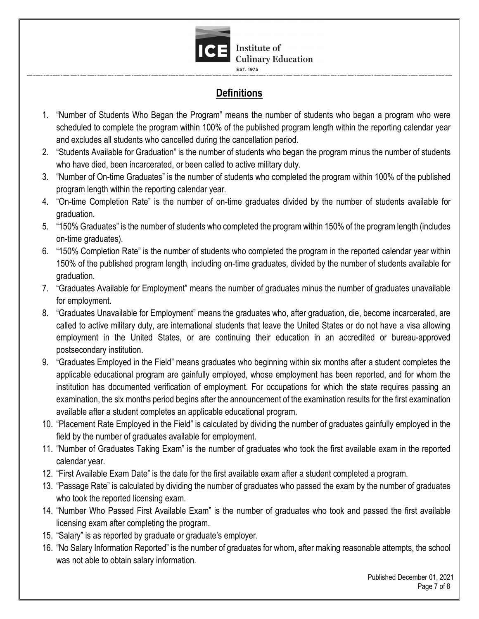

**EST. 1975** 

# **Definitions**

- 1. "Number of Students Who Began the Program" means the number of students who began a program who were scheduled to complete the program within 100% of the published program length within the reporting calendar year and excludes all students who cancelled during the cancellation period.
- 2. "Students Available for Graduation" is the number of students who began the program minus the number of students who have died, been incarcerated, or been called to active military duty.
- 3. "Number of On-time Graduates" is the number of students who completed the program within 100% of the published program length within the reporting calendar year.
- 4. "On-time Completion Rate" is the number of on-time graduates divided by the number of students available for graduation.
- 5. "150% Graduates" is the number of students who completed the program within 150% of the program length (includes on-time graduates).
- 6. "150% Completion Rate" is the number of students who completed the program in the reported calendar year within 150% of the published program length, including on-time graduates, divided by the number of students available for graduation.
- 7. "Graduates Available for Employment" means the number of graduates minus the number of graduates unavailable for employment.
- 8. "Graduates Unavailable for Employment" means the graduates who, after graduation, die, become incarcerated, are called to active military duty, are international students that leave the United States or do not have a visa allowing employment in the United States, or are continuing their education in an accredited or bureau-approved postsecondary institution.
- 9. "Graduates Employed in the Field" means graduates who beginning within six months after a student completes the applicable educational program are gainfully employed, whose employment has been reported, and for whom the institution has documented verification of employment. For occupations for which the state requires passing an examination, the six months period begins after the announcement of the examination results for the first examination available after a student completes an applicable educational program.
- 10. "Placement Rate Employed in the Field" is calculated by dividing the number of graduates gainfully employed in the field by the number of graduates available for employment.
- 11. "Number of Graduates Taking Exam" is the number of graduates who took the first available exam in the reported calendar year.
- 12. "First Available Exam Date" is the date for the first available exam after a student completed a program.
- 13. "Passage Rate" is calculated by dividing the number of graduates who passed the exam by the number of graduates who took the reported licensing exam.
- 14. "Number Who Passed First Available Exam" is the number of graduates who took and passed the first available licensing exam after completing the program.
- 15. "Salary" is as reported by graduate or graduate's employer.
- 16. "No Salary Information Reported" is the number of graduates for whom, after making reasonable attempts, the school was not able to obtain salary information.